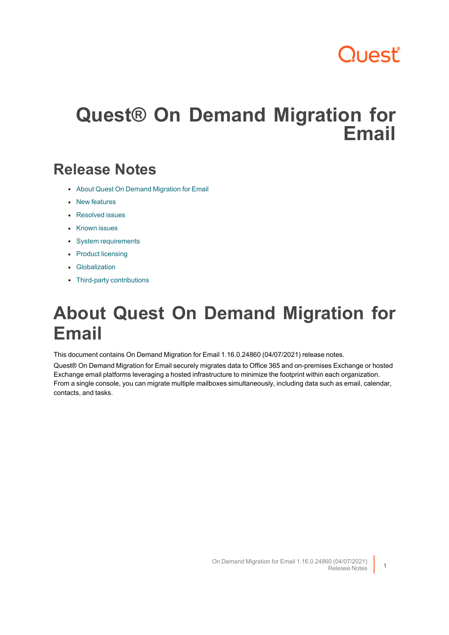# Quest'

# **Quest® On Demand Migration for Email**

## **Release Notes**

- About Quest On Demand [Migration](#page-0-0) for Email
- New [features](#page-1-0)
- [Resolved](#page-14-0) issues
- [Known](#page-47-0) issues
- System [requirements](#page-49-0)
- Product [licensing](#page-50-0)
- [Globalization](#page-51-0)
- <span id="page-0-0"></span>• Third-party [contributions](#page-53-0)

## **About Quest On Demand Migration for Email**

This document contains On Demand Migration for Email 1.16.0.24860 (04/07/2021) release notes.

Quest® On Demand Migration for Email securely migrates data to Office 365 and on-premises Exchange or hosted Exchange email platforms leveraging a hosted infrastructure to minimize the footprint within each organization. From a single console, you can migrate multiple mailboxes simultaneously, including data such as email, calendar, contacts, and tasks.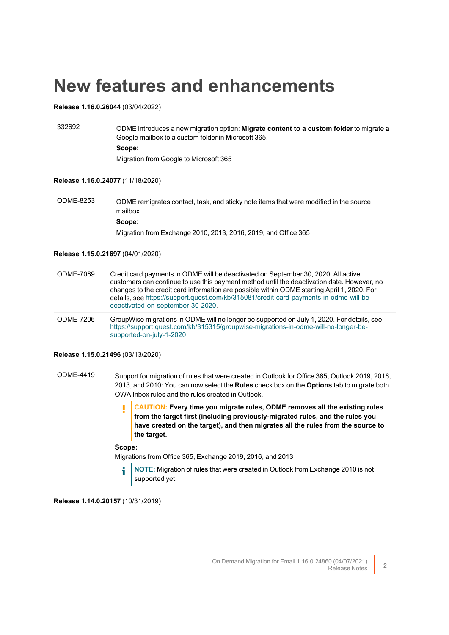## <span id="page-1-0"></span>**New features and enhancements**

#### **Release 1.16.0.26044** (03/04/2022)

332692 ODME introduces a new migration option: **Migrate content to a custom folder** to migrate a Google mailbox to a custom folder in Microsoft 365. **Scope:** Migration from Google to Microsoft 365

#### **Release 1.16.0.24077** (11/18/2020)

ODME-8253 ODME remigrates contact, task, and sticky note items that were modified in the source mailbox. **Scope:** Migration from Exchange 2010, 2013, 2016, 2019, and Office 365

#### **Release 1.15.0.21697** (04/01/2020)

- ODME-7089 Credit card payments in ODME will be deactivated on September 30, 2020. All active customers can continue to use this payment method until the deactivation date. However, no changes to the credit card information are possible within ODME starting April 1, 2020. For details, see [https://support.quest.com/kb/315081/credit-card-payments-in-odme-will-be](https://support.quest.com/kb/315081/credit-card-payments-in-odme-will-be-deactivated-on-september-30-2020)[deactivated-on-september-30-2020.](https://support.quest.com/kb/315081/credit-card-payments-in-odme-will-be-deactivated-on-september-30-2020)
- ODME-7206 GroupWise migrations in ODME will no longer be supported on July 1, 2020. For details, see [https://support.quest.com/kb/315315/groupwise-migrations-in-odme-will-no-longer-be](https://support.quest.com/kb/315315/groupwise-migrations-in-odme-will-no-longer-be-supported-on-july-1-2020)[supported-on-july-1-2020.](https://support.quest.com/kb/315315/groupwise-migrations-in-odme-will-no-longer-be-supported-on-july-1-2020)

#### **Release 1.15.0.21496** (03/13/2020)

- ODME-4419 Support for migration of rules that were created in Outlook for Office 365, Outlook 2019, 2016, 2013, and 2010: You can now select the **Rules** check box on the **Options** tab to migrate both OWA Inbox rules and the rules created in Outlook.
	- **CAUTION: Every time you migrate rules, ODME removes all the existing rules** ı **from the target first (including previously-migrated rules, and the rules you have created on the target), and then migrates all the rules from the source to the target.**

#### **Scope:**

Migrations from Office 365, Exchange 2019, 2016, and 2013

**NOTE:** Migration of rules that were created in Outlook from Exchange 2010 is not supported yet.

**Release 1.14.0.20157** (10/31/2019)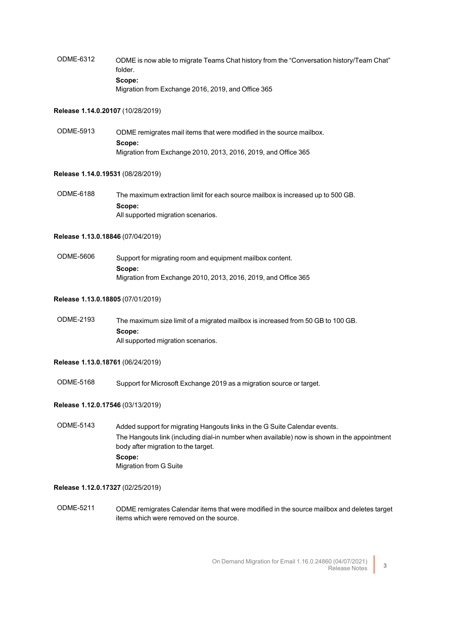ODME-6312 ODME is now able to migrate Teams Chat history from the "Conversation history/Team Chat" folder. **Scope:** Migration from Exchange 2016, 2019, and Office 365

#### **Release 1.14.0.20107** (10/28/2019)

ODME-5913 ODME remigrates mail items that were modified in the source mailbox. **Scope:** Migration from Exchange 2010, 2013, 2016, 2019, and Office 365

#### **Release 1.14.0.19531** (08/28/2019)

ODME-6188 The maximum extraction limit for each source mailbox is increased up to 500 GB. **Scope:** All supported migration scenarios.

#### **Release 1.13.0.18846** (07/04/2019)

ODME-5606 Support for migrating room and equipment mailbox content. **Scope:** Migration from Exchange 2010, 2013, 2016, 2019, and Office 365

#### **Release 1.13.0.18805** (07/01/2019)

ODME-2193 The maximum size limit of a migrated mailbox is increased from 50 GB to 100 GB. **Scope:** All supported migration scenarios.

#### **Release 1.13.0.18761** (06/24/2019)

ODME-5168 Support for Microsoft Exchange 2019 as a migration source or target.

#### **Release 1.12.0.17546** (03/13/2019)

ODME-5143 Added support for migrating Hangouts links in the G Suite Calendar events. The Hangouts link (including dial-in number when available) now is shown in the appointment body after migration to the target. **Scope:** Migration from G Suite

#### **Release 1.12.0.17327** (02/25/2019)

ODME-5211 ODME remigrates Calendar items that were modified in the source mailbox and deletes target items which were removed on the source.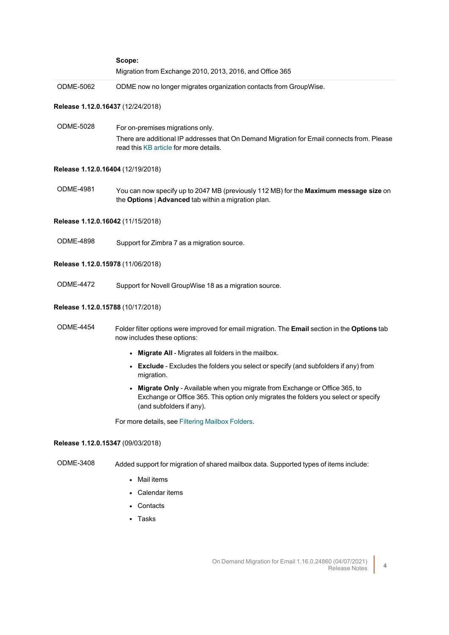|                                   | Scope:                                                                                                                                                                                         |
|-----------------------------------|------------------------------------------------------------------------------------------------------------------------------------------------------------------------------------------------|
|                                   | Migration from Exchange 2010, 2013, 2016, and Office 365                                                                                                                                       |
| <b>ODME-5062</b>                  | ODME now no longer migrates organization contacts from GroupWise.                                                                                                                              |
| Release 1.12.0.16437 (12/24/2018) |                                                                                                                                                                                                |
| <b>ODME-5028</b>                  | For on-premises migrations only.<br>There are additional IP addresses that On Demand Migration for Email connects from. Please<br>read this KB article for more details.                       |
| Release 1.12.0.16404 (12/19/2018) |                                                                                                                                                                                                |
| <b>ODME-4981</b>                  | You can now specify up to 2047 MB (previously 112 MB) for the Maximum message size on<br>the Options   Advanced tab within a migration plan.                                                   |
| Release 1.12.0.16042 (11/15/2018) |                                                                                                                                                                                                |
| <b>ODME-4898</b>                  | Support for Zimbra 7 as a migration source.                                                                                                                                                    |
| Release 1.12.0.15978 (11/06/2018) |                                                                                                                                                                                                |
| <b>ODME-4472</b>                  | Support for Novell GroupWise 18 as a migration source.                                                                                                                                         |
| Release 1.12.0.15788 (10/17/2018) |                                                                                                                                                                                                |
| <b>ODME-4454</b>                  | Folder filter options were improved for email migration. The Email section in the Options tab<br>now includes these options:                                                                   |
|                                   | • Migrate All - Migrates all folders in the mailbox.                                                                                                                                           |
|                                   | • Exclude - Excludes the folders you select or specify (and subfolders if any) from<br>migration.                                                                                              |
|                                   | • Migrate Only - Available when you migrate from Exchange or Office 365, to<br>Exchange or Office 365. This option only migrates the folders you select or specify<br>(and subfolders if any). |
|                                   | For more details, see Filtering Mailbox Folders.                                                                                                                                               |
| Release 1.12.0.15347 (09/03/2018) |                                                                                                                                                                                                |
| <b>ODME-3408</b>                  | Added support for migration of shared mailbox data. Supported types of items include:                                                                                                          |

- Mail items
- Calendar items
- Contacts
- Tasks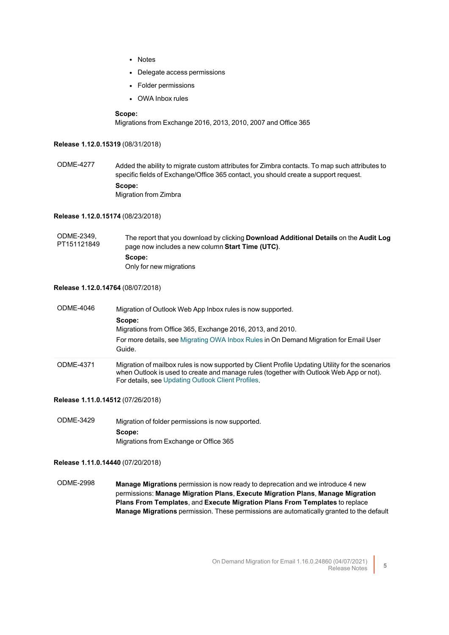- Notes
- Delegate access permissions
- Folder permissions
- OWA Inbox rules

#### **Scope:**

Migrations from Exchange 2016, 2013, 2010, 2007 and Office 365

#### **Release 1.12.0.15319** (08/31/2018)

ODME-4277 Added the ability to migrate custom attributes for Zimbra contacts. To map such attributes to specific fields of Exchange/Office 365 contact, you should create a support request. **Scope:** Migration from Zimbra

#### **Release 1.12.0.15174** (08/23/2018)

ODME-2349, PT151121849 The report that you download by clicking **Download Additional Details** on the **Audit Log** page now includes a new column **Start Time (UTC)**. **Scope:** Only for new migrations

#### **Release 1.12.0.14764** (08/07/2018)

| ODMF-4046 | Migration of Outlook Web App Inbox rules is now supported.<br>Scope:<br>Migrations from Office 365, Exchange 2016, 2013, and 2010.<br>For more details, see Migrating OWA Inbox Rules in On Demand Migration for Email User<br>Guide.             |
|-----------|---------------------------------------------------------------------------------------------------------------------------------------------------------------------------------------------------------------------------------------------------|
| ODME-4371 | Migration of mailbox rules is now supported by Client Profile Updating Utility for the scenarios<br>when Outlook is used to create and manage rules (together with Outlook Web App or not).<br>For details, see Updating Outlook Client Profiles. |

#### **Release 1.11.0.14512** (07/26/2018)

ODME-3429 Migration of folder permissions is now supported. **Scope:** Migrations from Exchange or Office 365

#### **Release 1.11.0.14440** (07/20/2018)

ODME-2998 **Manage Migrations** permission is now ready to deprecation and we introduce 4 new permissions: **Manage Migration Plans**, **Execute Migration Plans**, **Manage Migration Plans From Templates**, and **Execute Migration Plans From Templates** to replace **Manage Migrations** permission. These permissions are automatically granted to the default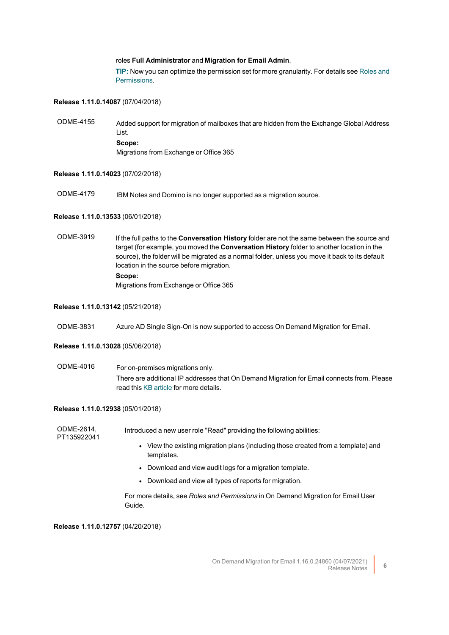#### roles **Full Administrator** and **Migration for Email Admin**.

**TIP:** Now you can optimize the permission set for more granularity. For details see [Roles](http://support.quest.com/technical-documents/on-demand-migration-for-email/user-guide/introduction/roles-and-permissions) and [Permissions](http://support.quest.com/technical-documents/on-demand-migration-for-email/user-guide/introduction/roles-and-permissions).

#### **Release 1.11.0.14087** (07/04/2018)

ODME-4155 Added support for migration of mailboxes that are hidden from the Exchange Global Address List. **Scope:** Migrations from Exchange or Office 365

#### **Release 1.11.0.14023** (07/02/2018)

ODME-4179 IBM Notes and Domino is no longer supported as a migration source.

#### **Release 1.11.0.13533** (06/01/2018)

ODME-3919 If the full paths to the **Conversation History** folder are not the same between the source and target (for example, you moved the **Conversation History** folder to another location in the source), the folder will be migrated as a normal folder, unless you move it back to its default location in the source before migration. **Scope:** Migrations from Exchange or Office 365

#### **Release 1.11.0.13142** (05/21/2018)

ODME-3831 Azure AD Single Sign-On is now supported to access On Demand Migration for Email.

#### **Release 1.11.0.13028** (05/06/2018)

ODME-4016 For on-premises migrations only. There are additional IP addresses that On Demand Migration for Email connects from. Please read this KB [article](https://support.quest.com/kb/255109/on-demand-migration-for-email-will-be-using-additional-ip-s) for more details.

#### **Release 1.11.0.12938** (05/01/2018)

| ODME-2614.<br>PT135922041 | Introduced a new user role "Read" providing the following abilities:                            |
|---------------------------|-------------------------------------------------------------------------------------------------|
|                           | • View the existing migration plans (including those created from a template) and<br>templates. |
|                           | • Download and view audit logs for a migration template.                                        |
|                           | • Download and view all types of reports for migration.                                         |
|                           |                                                                                                 |

For more details, see *Roles and Permissions* in On Demand Migration for Email User Guide.

**Release 1.11.0.12757** (04/20/2018)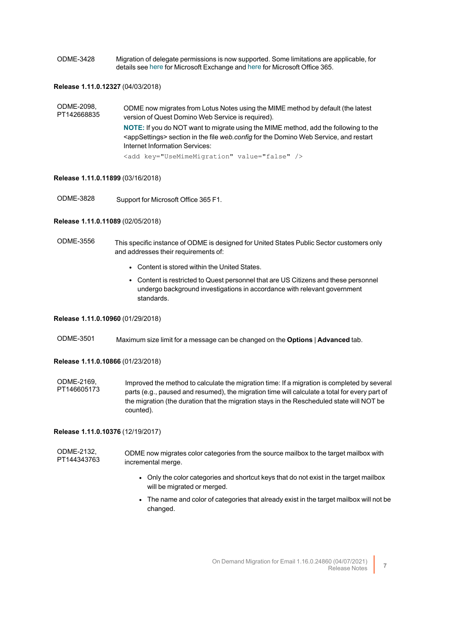ODME-3428 Migration of delegate permissions is now supported. Some limitations are applicable, for details see [here](https://support.quest.com/technical-documents/on-demand-migration-for-email/current/user-guide/configuring-and-running-migrations/known-issues-and-limitations/known-limitations/microsoft-exchange) for Microsoft Exchange and [here](https://support.quest.com/technical-documents/on-demand-migration-for-email/current/user-guide/configuring-and-running-migrations/known-issues-and-limitations/known-limitations/office-365) for Microsoft Office 365.

#### **Release 1.11.0.12327** (04/03/2018)

| ODME-2098.<br>PT142668835 | ODME now migrates from Lotus Notes using the MIME method by default (the latest<br>version of Quest Domino Web Service is required).                                                                                         |
|---------------------------|------------------------------------------------------------------------------------------------------------------------------------------------------------------------------------------------------------------------------|
|                           | NOTE: If you do NOT want to migrate using the MIME method, add the following to the<br><appsettings> section in the file web.config for the Domino Web Service, and restart<br/>Internet Information Services:</appsettings> |
|                           |                                                                                                                                                                                                                              |

<add key="UseMimeMigration" value="false" />

#### **Release 1.11.0.11899** (03/16/2018)

ODME-3828 Support for Microsoft Office 365 F1.

#### **Release 1.11.0.11089** (02/05/2018)

ODME-3556 This specific instance of ODME is designed for United States Public Sector customers only and addresses their requirements of:

- Content is stored within the United States.
- Content is restricted to Quest personnel that are US Citizens and these personnel undergo background investigations in accordance with relevant government standards.

## **Release 1.11.0.10960** (01/29/2018)

ODME-3501 Maximum size limit for a message can be changed on the **Options** | **Advanced** tab.

#### **Release 1.11.0.10866** (01/23/2018)

ODME-2169, PT146605173 Improved the method to calculate the migration time: If a migration is completed by several parts (e.g., paused and resumed), the migration time will calculate a total for every part of the migration (the duration that the migration stays in the Rescheduled state will NOT be counted).

#### **Release 1.11.0.10376** (12/19/2017)

ODME-2132, PT144343763 ODME now migrates color categories from the source mailbox to the target mailbox with incremental merge.

- Only the color categories and shortcut keys that do not exist in the target mailbox will be migrated or merged.
- The name and color of categories that already exist in the target mailbox will not be changed.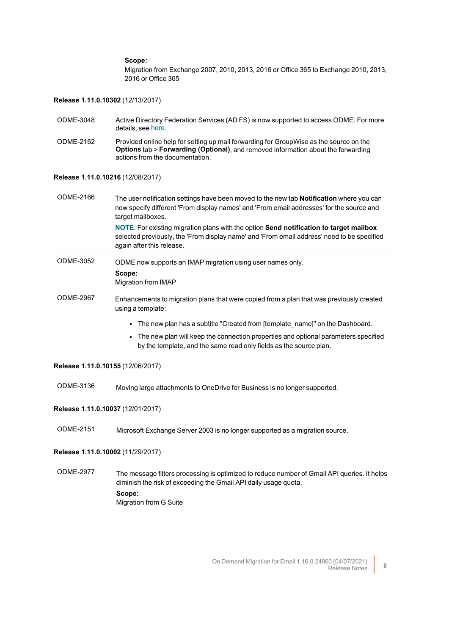#### **Scope:**

again after this release.

Migration from Exchange 2007, 2010, 2013, 2016 or Office 365 to Exchange 2010, 2013, 2016 or Office 365

#### **Release 1.11.0.10302** (12/13/2017)

| ODME-3048 | Active Directory Federation Services (AD FS) is now supported to access ODME. For more<br>details, see here.                                                                                                   |
|-----------|----------------------------------------------------------------------------------------------------------------------------------------------------------------------------------------------------------------|
| ODME-2162 | Provided online help for setting up mail forwarding for GroupWise as the source on the<br>Options tab > Forwarding (Optional), and removed information about the forwarding<br>actions from the documentation. |

#### **Release 1.11.0.10216** (12/08/2017)

ODME-2166 The user notification settings have been moved to the new tab **Notification** where you can now specify different 'From display names' and 'From email addresses' for the source and target mailboxes. **NOTE**: For existing migration plans with the option **Send notification to target mailbox** selected previously, the 'From display name' and 'From email address' need to be specified

| ODME-3052 | ODME now supports an IMAP migration using user names only.<br>Scope:<br>Migration from IMAP                   |
|-----------|---------------------------------------------------------------------------------------------------------------|
| ODME-2967 | Enhancements to migration plans that were copied from a plan that was previously created<br>using a template: |

- The new plan has a subtitle "Created from [template\_name]" on the Dashboard.
- The new plan will keep the connection properties and optional parameters specified by the template, and the same read only fields as the source plan.

#### **Release 1.11.0.10155** (12/06/2017)

ODME-3136 Moving large attachments to OneDrive for Business is no longer supported.

### **Release 1.11.0.10037** (12/01/2017)

ODME-2151 Microsoft Exchange Server 2003 is no longer supported as a migration source.

#### **Release 1.11.0.10002** (11/29/2017)

ODME-2977 The message filters processing is optimized to reduce number of Gmail API queries. It helps diminish the risk of exceeding the Gmail API daily usage quota. **Scope:** Migration from G Suite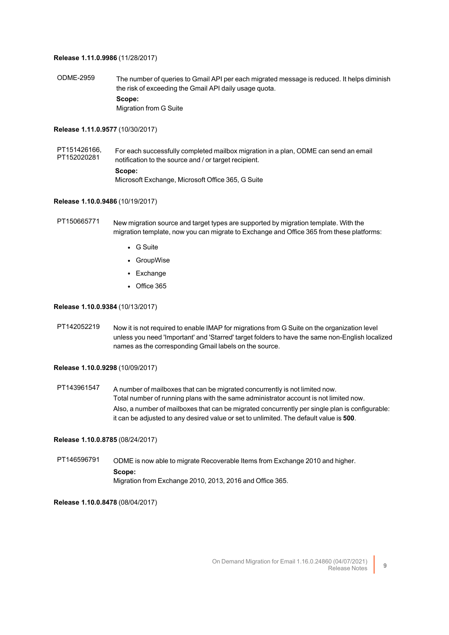#### **Release 1.11.0.9986** (11/28/2017)

ODME-2959 The number of queries to Gmail API per each migrated message is reduced. It helps diminish the risk of exceeding the Gmail API daily usage quota. **Scope:** Migration from G Suite

#### **Release 1.11.0.9577** (10/30/2017)

PT151426166, PT152020281 For each successfully completed mailbox migration in a plan, ODME can send an email notification to the source and / or target recipient. **Scope:** Microsoft Exchange, Microsoft Office 365, G Suite

#### **Release 1.10.0.9486** (10/19/2017)

- PT150665771 New migration source and target types are supported by migration template. With the migration template, now you can migrate to Exchange and Office 365 from these platforms:
	- G Suite
	- GroupWise
	- Exchange
	- $\cdot$  Office 365

**Release 1.10.0.9384** (10/13/2017)

PT142052219 Now it is not required to enable IMAP for migrations from G Suite on the organization level unless you need 'Important' and 'Starred' target folders to have the same non-English localized names as the corresponding Gmail labels on the source.

#### **Release 1.10.0.9298** (10/09/2017)

PT143961547 A number of mailboxes that can be migrated concurrently is not limited now. Total number of running plans with the same administrator account is not limited now. Also, a number of mailboxes that can be migrated concurrently per single plan is configurable: it can be adjusted to any desired value or set to unlimited. The default value is **500**.

#### **Release 1.10.0.8785** (08/24/2017)

PT146596791 ODME is now able to migrate Recoverable Items from Exchange 2010 and higher. **Scope:** Migration from Exchange 2010, 2013, 2016 and Office 365.

**Release 1.10.0.8478** (08/04/2017)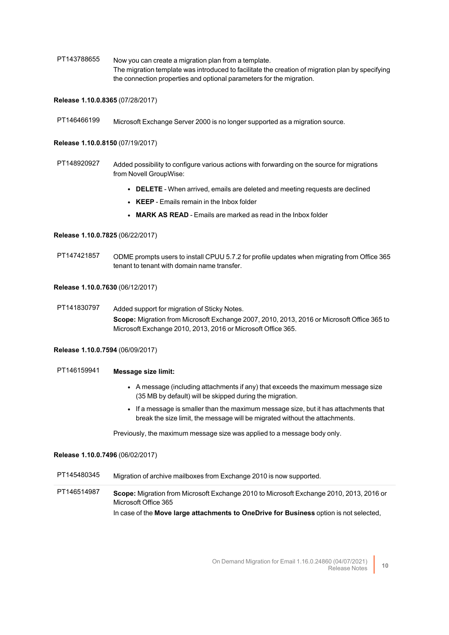PT143788655 Now you can create a migration plan from a template. The migration template was introduced to facilitate the creation of migration plan by specifying the connection properties and optional parameters for the migration.

#### **Release 1.10.0.8365** (07/28/2017)

PT146466199 Microsoft Exchange Server 2000 is no longer supported as a migration source.

#### **Release 1.10.0.8150** (07/19/2017)

- PT148920927 Added possibility to configure various actions with forwarding on the source for migrations from Novell GroupWise:
	- **DELETE** When arrived, emails are deleted and meeting requests are declined
	- **KEEP** Emails remain in the Inbox folder
	- <sup>l</sup> **MARK AS READ** Emails are marked as read in the Inbox folder

#### **Release 1.10.0.7825** (06/22/2017)

PT147421857 ODME prompts users to install CPUU 5.7.2 for profile updates when migrating from Office 365 tenant to tenant with domain name transfer.

#### **Release 1.10.0.7630** (06/12/2017)

PT141830797 Added support for migration of Sticky Notes. **Scope:** Migration from Microsoft Exchange 2007, 2010, 2013, 2016 or Microsoft Office 365 to Microsoft Exchange 2010, 2013, 2016 or Microsoft Office 365.

#### **Release 1.10.0.7594** (06/09/2017)

### PT146159941 **Message size limit:**

- A message (including attachments if any) that exceeds the maximum message size (35 MB by default) will be skipped during the migration.
- If a message is smaller than the maximum message size, but it has attachments that break the size limit, the message will be migrated without the attachments.

Previously, the maximum message size was applied to a message body only.

#### **Release 1.10.0.7496** (06/02/2017)

PT145480345 Migration of archive mailboxes from Exchange 2010 is now supported.

PT146514987 **Scope:** Migration from Microsoft Exchange 2010 to Microsoft Exchange 2010, 2013, 2016 or Microsoft Office 365 In case of the **Move large attachments to OneDrive for Business** option is not selected,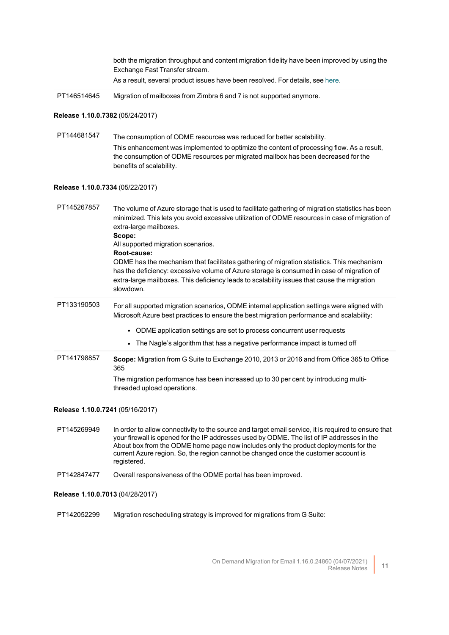|                                  | both the migration throughput and content migration fidelity have been improved by using the<br>Exchange Fast Transfer stream.                                                                                                                                                                                                                                                                  |
|----------------------------------|-------------------------------------------------------------------------------------------------------------------------------------------------------------------------------------------------------------------------------------------------------------------------------------------------------------------------------------------------------------------------------------------------|
|                                  | As a result, several product issues have been resolved. For details, see here.                                                                                                                                                                                                                                                                                                                  |
| PT146514645                      | Migration of mailboxes from Zimbra 6 and 7 is not supported anymore.                                                                                                                                                                                                                                                                                                                            |
| Release 1.10.0.7382 (05/24/2017) |                                                                                                                                                                                                                                                                                                                                                                                                 |
| PT144681547                      | The consumption of ODME resources was reduced for better scalability.<br>This enhancement was implemented to optimize the content of processing flow. As a result,                                                                                                                                                                                                                              |
|                                  | the consumption of ODME resources per migrated mailbox has been decreased for the<br>benefits of scalability.                                                                                                                                                                                                                                                                                   |
| Release 1.10.0.7334 (05/22/2017) |                                                                                                                                                                                                                                                                                                                                                                                                 |
| PT145267857                      | The volume of Azure storage that is used to facilitate gathering of migration statistics has been<br>minimized. This lets you avoid excessive utilization of ODME resources in case of migration of<br>extra-large mailboxes.<br>Scope:                                                                                                                                                         |
|                                  | All supported migration scenarios.<br>Root-cause:                                                                                                                                                                                                                                                                                                                                               |
|                                  | ODME has the mechanism that facilitates gathering of migration statistics. This mechanism<br>has the deficiency: excessive volume of Azure storage is consumed in case of migration of<br>extra-large mailboxes. This deficiency leads to scalability issues that cause the migration<br>slowdown.                                                                                              |
| PT133190503                      | For all supported migration scenarios, ODME internal application settings were aligned with<br>Microsoft Azure best practices to ensure the best migration performance and scalability:                                                                                                                                                                                                         |
|                                  | ODME application settings are set to process concurrent user requests<br>$\bullet$                                                                                                                                                                                                                                                                                                              |
|                                  | The Nagle's algorithm that has a negative performance impact is turned off<br>$\bullet$                                                                                                                                                                                                                                                                                                         |
| PT141798857                      | Scope: Migration from G Suite to Exchange 2010, 2013 or 2016 and from Office 365 to Office<br>365                                                                                                                                                                                                                                                                                               |
|                                  | The migration performance has been increased up to 30 per cent by introducing multi-<br>threaded upload operations.                                                                                                                                                                                                                                                                             |
| Release 1.10.0.7241 (05/16/2017) |                                                                                                                                                                                                                                                                                                                                                                                                 |
| PT145269949                      | In order to allow connectivity to the source and target email service, it is required to ensure that<br>your firewall is opened for the IP addresses used by ODME. The list of IP addresses in the<br>About box from the ODME home page now includes only the product deployments for the<br>current Azure region. So, the region cannot be changed once the customer account is<br>registered. |
| PT142847477                      | Overall responsiveness of the ODME portal has been improved.                                                                                                                                                                                                                                                                                                                                    |
| Release 1.10.0.7013 (04/28/2017) |                                                                                                                                                                                                                                                                                                                                                                                                 |
| PT142052299                      | Migration rescheduling strategy is improved for migrations from G Suite:                                                                                                                                                                                                                                                                                                                        |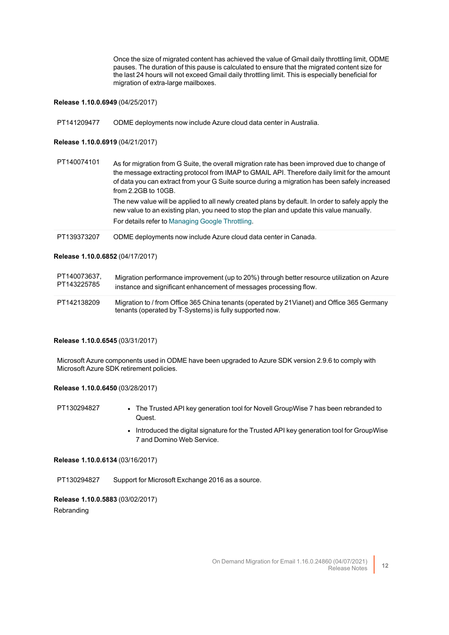Once the size of migrated content has achieved the value of Gmail daily throttling limit, ODME pauses. The duration of this pause is calculated to ensure that the migrated content size for the last 24 hours will not exceed Gmail daily throttling limit. This is especially beneficial for migration of extra-large mailboxes.

#### **Release 1.10.0.6949** (04/25/2017)

PT141209477 ODME deployments now include Azure cloud data center in Australia.

#### **Release 1.10.0.6919** (04/21/2017)

| PT140074101 | As for migration from G Suite, the overall migration rate has been improved due to change of<br>the message extracting protocol from IMAP to GMAIL API. Therefore daily limit for the amount<br>of data you can extract from your G Suite source during a migration has been safely increased<br>from 2.2GB to 10GB. |
|-------------|----------------------------------------------------------------------------------------------------------------------------------------------------------------------------------------------------------------------------------------------------------------------------------------------------------------------|
|             | The new value will be applied to all newly created plans by default. In order to safely apply the<br>new value to an existing plan, you need to stop the plan and update this value manually.<br>For details refer to Managing Google Throttling.                                                                    |
| PT139373207 | ODME deployments now include Azure cloud data center in Canada.                                                                                                                                                                                                                                                      |

#### **Release 1.10.0.6852** (04/17/2017)

| PT140073637. | Migration performance improvement (up to 20%) through better resource utilization on Azure                                                             |
|--------------|--------------------------------------------------------------------------------------------------------------------------------------------------------|
| PT143225785  | instance and significant enhancement of messages processing flow.                                                                                      |
| PT142138209  | Migration to / from Office 365 China tenants (operated by 21 Vianet) and Office 365 Germany<br>tenants (operated by T-Systems) is fully supported now. |

#### **Release 1.10.0.6545** (03/31/2017)

Microsoft Azure components used in ODME have been upgraded to Azure SDK version 2.9.6 to comply with Microsoft Azure SDK retirement policies.

#### **Release 1.10.0.6450** (03/28/2017)

PT130294827 • The Trusted API key generation tool for Novell GroupWise 7 has been rebranded to Quest.

> • Introduced the digital signature for the Trusted API key generation tool for GroupWise 7 and Domino Web Service.

### **Release 1.10.0.6134** (03/16/2017)

PT130294827 Support for Microsoft Exchange 2016 as a source.

### **Release 1.10.0.5883** (03/02/2017) Rebranding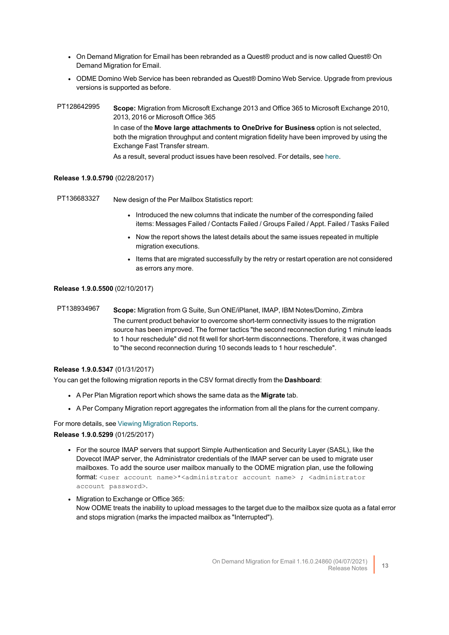- On Demand Migration for Email has been rebranded as a Quest<sup>®</sup> product and is now called Quest<sup>®</sup> On Demand Migration for Email.
- ODME Domino Web Service has been rebranded as Quest<sup>®</sup> Domino Web Service. Upgrade from previous versions is supported as before.
- PT128642995 **Scope:** Migration from Microsoft Exchange 2013 and Office 365 to Microsoft Exchange 2010, 2013, 2016 or Microsoft Office 365 In case of the **Move large attachments to OneDrive for Business** option is not selected, both the migration throughput and content migration fidelity have been improved by using the Exchange Fast Transfer stream.

As a result, several product issues have been resolved. For details, see [here](http://documents.quest.com/on-demand-migration-for-email/release-notes/resolved-issues).

#### **Release 1.9.0.5790** (02/28/2017)

PT136683327 New design of the Per Mailbox Statistics report:

- Introduced the new columns that indicate the number of the corresponding failed items: Messages Failed / Contacts Failed / Groups Failed / Appt. Failed / Tasks Failed
- Now the report shows the latest details about the same issues repeated in multiple migration executions.
- Items that are migrated successfully by the retry or restart operation are not considered as errors any more.

#### **Release 1.9.0.5500** (02/10/2017)

PT138934967 **Scope:** Migration from G Suite, Sun ONE/iPlanet, IMAP, IBM Notes/Domino, Zimbra The current product behavior to overcome short-term connectivity issues to the migration source has been improved. The former tactics "the second reconnection during 1 minute leads to 1 hour reschedule" did not fit well for short-term disconnections. Therefore, it was changed to "the second reconnection during 10 seconds leads to 1 hour reschedule".

#### **Release 1.9.0.5347** (01/31/2017)

You can get the following migration reports in the CSV format directly from the **Dashboard**:

- A Per Plan Migration report which shows the same data as the **Migrate** tab.
- A Per Company Migration report aggregates the information from all the plans for the current company.

## For more details, see Viewing [Migration](http://support.quest.com/technical-documents/on-demand-migration-for-email/user-guide/post-migration/viewing-migration-reports) Reports. **Release 1.9.0.5299** (01/25/2017)

- For the source IMAP servers that support Simple Authentication and Security Layer (SASL), like the Dovecot IMAP server, the Administrator credentials of the IMAP server can be used to migrate user mailboxes. To add the source user mailbox manually to the ODME migration plan, use the following format: <user account name>\*<administrator account name> ; <administrator account password>.
- Migration to Exchange or Office 365: Now ODME treats the inability to upload messages to the target due to the mailbox size quota as a fatal error and stops migration (marks the impacted mailbox as "Interrupted").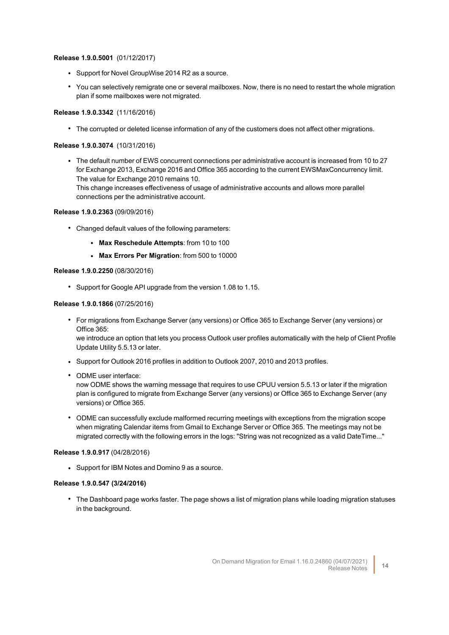#### **Release 1.9.0.5001** (01/12/2017)

- Support for Novel GroupWise 2014 R2 as a source.
- <sup>l</sup> You can selectively remigrate one or several mailboxes. Now, there is no need to restart the whole migration plan if some mailboxes were not migrated.

#### **Release 1.9.0.3342** (11/16/2016)

• The corrupted or deleted license information of any of the customers does not affect other migrations.

#### **Release 1.9.0.3074** (10/31/2016)

• The default number of EWS concurrent connections per administrative account is increased from 10 to 27 for Exchange 2013, Exchange 2016 and Office 365 according to the current EWSMaxConcurrency limit. The value for Exchange 2010 remains 10. This change increases effectiveness of usage of administrative accounts and allows more parallel

connections per the administrative account.

#### **Release 1.9.0.2363** (09/09/2016)

- Changed default values of the following parameters:
	- <sup>l</sup> **Max Reschedule Attempts**: from 10 to 100
	- <sup>l</sup> **Max Errors Per Migration**: from 500 to 10000

#### **Release 1.9.0.2250** (08/30/2016)

• Support for Google API upgrade from the version 1.08 to 1.15.

#### **Release 1.9.0.1866** (07/25/2016)

- For migrations from Exchange Server (any versions) or Office 365 to Exchange Server (any versions) or Office 365: we introduce an option that lets you process Outlook user profiles automatically with the help of Client Profile Update Utility 5.5.13 or later.
- Support for Outlook 2016 profiles in addition to Outlook 2007, 2010 and 2013 profiles.
- ODME user interface:

now ODME shows the warning message that requires to use CPUU version 5.5.13 or later if the migration plan is configured to migrate from Exchange Server (any versions) or Office 365 to Exchange Server (any versions) or Office 365.

• ODME can successfully exclude malformed recurring meetings with exceptions from the migration scope when migrating Calendar items from Gmail to Exchange Server or Office 365. The meetings may not be migrated correctly with the following errors in the logs: "String was not recognized as a valid DateTime..."

#### **Release 1.9.0.917** (04/28/2016)

• Support for IBM Notes and Domino 9 as a source.

#### **Release 1.9.0.547 (3/24/2016)**

• The Dashboard page works faster. The page shows a list of migration plans while loading migration statuses in the background.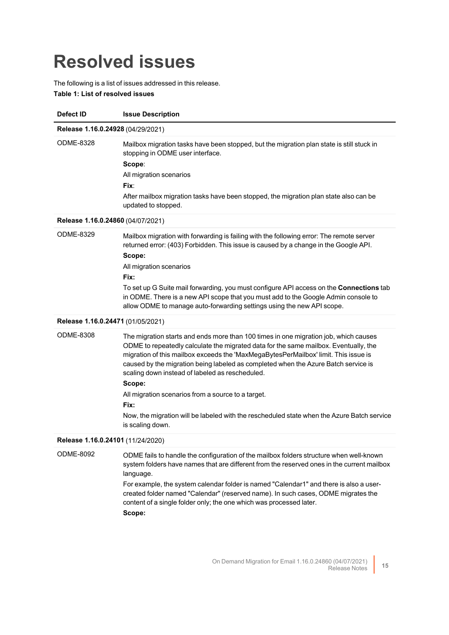## <span id="page-14-0"></span>**Resolved issues**

The following is a list of issues addressed in this release.

**Table 1: List of resolved issues**

| Defect ID                         | <b>Issue Description</b>                                                                                                                                                                                                                                                                                                                                                                                                                                                                                                                                                                               |
|-----------------------------------|--------------------------------------------------------------------------------------------------------------------------------------------------------------------------------------------------------------------------------------------------------------------------------------------------------------------------------------------------------------------------------------------------------------------------------------------------------------------------------------------------------------------------------------------------------------------------------------------------------|
| Release 1.16.0.24928 (04/29/2021) |                                                                                                                                                                                                                                                                                                                                                                                                                                                                                                                                                                                                        |
| ODME-8328                         | Mailbox migration tasks have been stopped, but the migration plan state is still stuck in<br>stopping in ODME user interface.<br>Scope:<br>All migration scenarios<br>Fix:<br>After mailbox migration tasks have been stopped, the migration plan state also can be<br>updated to stopped.                                                                                                                                                                                                                                                                                                             |
| Release 1.16.0.24860 (04/07/2021) |                                                                                                                                                                                                                                                                                                                                                                                                                                                                                                                                                                                                        |
| ODME-8329                         | Mailbox migration with forwarding is failing with the following error: The remote server<br>returned error: (403) Forbidden. This issue is caused by a change in the Google API.<br>Scope:<br>All migration scenarios<br>Fix:<br>To set up G Suite mail forwarding, you must configure API access on the Connections tab<br>in ODME. There is a new API scope that you must add to the Google Admin console to<br>allow ODME to manage auto-forwarding settings using the new API scope.                                                                                                               |
| Release 1.16.0.24471 (01/05/2021) |                                                                                                                                                                                                                                                                                                                                                                                                                                                                                                                                                                                                        |
| <b>ODME-8308</b>                  | The migration starts and ends more than 100 times in one migration job, which causes<br>ODME to repeatedly calculate the migrated data for the same mailbox. Eventually, the<br>migration of this mailbox exceeds the 'MaxMegaBytesPerMailbox' limit. This issue is<br>caused by the migration being labeled as completed when the Azure Batch service is<br>scaling down instead of labeled as rescheduled.<br>Scope:<br>All migration scenarios from a source to a target.<br>Fix:<br>Now, the migration will be labeled with the rescheduled state when the Azure Batch service<br>is scaling down. |
| Release 1.16.0.24101 (11/24/2020) |                                                                                                                                                                                                                                                                                                                                                                                                                                                                                                                                                                                                        |
| <b>ODME-8092</b>                  | ODME fails to handle the configuration of the mailbox folders structure when well-known<br>system folders have names that are different from the reserved ones in the current mailbox<br>language.<br>For example, the system calendar folder is named "Calendar1" and there is also a user-<br>created folder named "Calendar" (reserved name). In such cases, ODME migrates the<br>content of a single folder only; the one which was processed later.<br>Scope:                                                                                                                                     |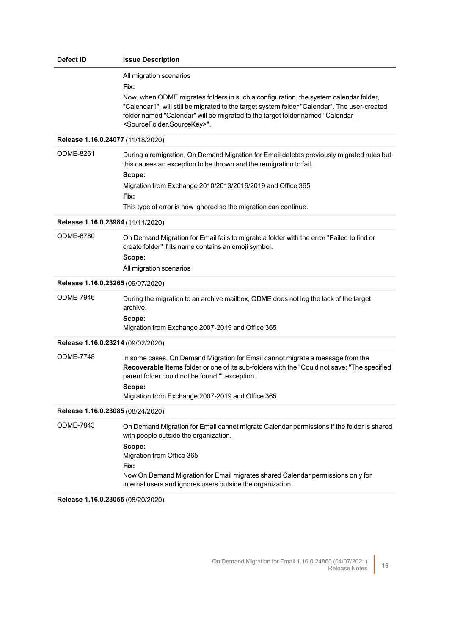| Defect ID                         | <b>Issue Description</b>                                                                                                                                                                                                                                                                                                                                         |
|-----------------------------------|------------------------------------------------------------------------------------------------------------------------------------------------------------------------------------------------------------------------------------------------------------------------------------------------------------------------------------------------------------------|
|                                   | All migration scenarios<br>Fix:<br>Now, when ODME migrates folders in such a configuration, the system calendar folder,<br>"Calendar1", will still be migrated to the target system folder "Calendar". The user-created<br>folder named "Calendar" will be migrated to the target folder named "Calendar_<br><sourcefolder.sourcekey>".</sourcefolder.sourcekey> |
| Release 1.16.0.24077 (11/18/2020) |                                                                                                                                                                                                                                                                                                                                                                  |
| <b>ODME-8261</b>                  | During a remigration, On Demand Migration for Email deletes previously migrated rules but<br>this causes an exception to be thrown and the remigration to fail.<br>Scope:<br>Migration from Exchange 2010/2013/2016/2019 and Office 365<br>Fix:<br>This type of error is now ignored so the migration can continue.                                              |
| Release 1.16.0.23984 (11/11/2020) |                                                                                                                                                                                                                                                                                                                                                                  |
| ODME-6780                         | On Demand Migration for Email fails to migrate a folder with the error "Failed to find or<br>create folder" if its name contains an emoji symbol.<br>Scope:<br>All migration scenarios                                                                                                                                                                           |
| Release 1.16.0.23265 (09/07/2020) |                                                                                                                                                                                                                                                                                                                                                                  |
| ODME-7946                         | During the migration to an archive mailbox, ODME does not log the lack of the target<br>archive.<br>Scope:<br>Migration from Exchange 2007-2019 and Office 365                                                                                                                                                                                                   |
| Release 1.16.0.23214 (09/02/2020) |                                                                                                                                                                                                                                                                                                                                                                  |
| <b>ODME-7748</b>                  | In some cases, On Demand Migration for Email cannot migrate a message from the<br>Recoverable Items folder or one of its sub-folders with the "Could not save: "The specified<br>parent folder could not be found."" exception.<br>Scope:<br>Migration from Exchange 2007-2019 and Office 365                                                                    |
| Release 1.16.0.23085 (08/24/2020) |                                                                                                                                                                                                                                                                                                                                                                  |
| ODME-7843                         | On Demand Migration for Email cannot migrate Calendar permissions if the folder is shared<br>with people outside the organization.<br>Scope:<br>Migration from Office 365<br>Fix:<br>Now On Demand Migration for Email migrates shared Calendar permissions only for<br>internal users and ignores users outside the organization.                               |
| Release 1.16.0.23055 (08/20/2020) |                                                                                                                                                                                                                                                                                                                                                                  |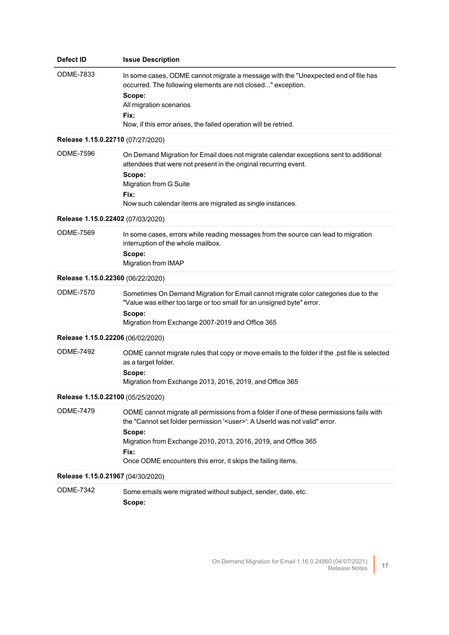| Defect ID                         | <b>Issue Description</b>                                                                                                                                                                                                                                                                                                               |
|-----------------------------------|----------------------------------------------------------------------------------------------------------------------------------------------------------------------------------------------------------------------------------------------------------------------------------------------------------------------------------------|
| ODME-7833                         | In some cases, ODME cannot migrate a message with the "Unexpected end of file has<br>occurred. The following elements are not closed" exception.<br>Scope:<br>All migration scenarios<br>Fix:<br>Now, if this error arises, the failed operation will be retried.                                                                      |
| Release 1.15.0.22710 (07/27/2020) |                                                                                                                                                                                                                                                                                                                                        |
| <b>ODME-7596</b>                  | On Demand Migration for Email does not migrate calendar exceptions sent to additional<br>attendees that were not present in the original recurring event.<br>Scope:<br>Migration from G Suite<br>Fix:<br>Now such calendar items are migrated as single instances.                                                                     |
| Release 1.15.0.22402 (07/03/2020) |                                                                                                                                                                                                                                                                                                                                        |
| ODME-7569                         | In some cases, errors while reading messages from the source can lead to migration<br>interruption of the whole mailbox.<br>Scope:<br>Migration from IMAP                                                                                                                                                                              |
| Release 1.15.0.22360 (06/22/2020) |                                                                                                                                                                                                                                                                                                                                        |
| <b>ODME-7570</b>                  | Sometimes On Demand Migration for Email cannot migrate color categories due to the<br>"Value was either too large or too small for an unsigned byte" error.<br>Scope:<br>Migration from Exchange 2007-2019 and Office 365                                                                                                              |
| Release 1.15.0.22206 (06/02/2020) |                                                                                                                                                                                                                                                                                                                                        |
| <b>ODME-7492</b>                  | ODME cannot migrate rules that copy or move emails to the folder if the .pst file is selected<br>as a target folder.<br>Scope:<br>Migration from Exchange 2013, 2016, 2019, and Office 365                                                                                                                                             |
| Release 1.15.0.22100 (05/25/2020) |                                                                                                                                                                                                                                                                                                                                        |
| <b>ODME-7479</b>                  | ODME cannot migrate all permissions from a folder if one of these permissions fails with<br>the "Cannot set folder permission ' <user>': A Userld was not valid" error.<br/>Scope:<br/>Migration from Exchange 2010, 2013, 2016, 2019, and Office 365<br/>Fix:<br/>Once ODME encounters this error, it skips the failing items.</user> |
| Release 1.15.0.21967 (04/30/2020) |                                                                                                                                                                                                                                                                                                                                        |
| <b>ODME-7342</b>                  | Some emails were migrated without subject, sender, date, etc.<br>Scope:                                                                                                                                                                                                                                                                |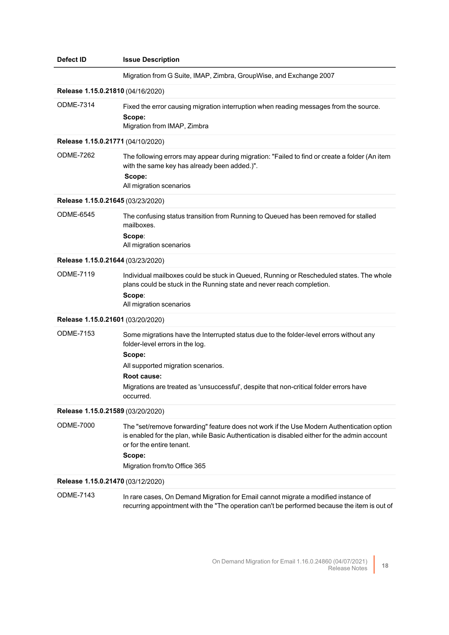| <b>Defect ID</b>                  | <b>Issue Description</b>                                                                                                                                                                                                                                                                        |  |
|-----------------------------------|-------------------------------------------------------------------------------------------------------------------------------------------------------------------------------------------------------------------------------------------------------------------------------------------------|--|
|                                   | Migration from G Suite, IMAP, Zimbra, GroupWise, and Exchange 2007                                                                                                                                                                                                                              |  |
| Release 1.15.0.21810 (04/16/2020) |                                                                                                                                                                                                                                                                                                 |  |
| <b>ODME-7314</b>                  | Fixed the error causing migration interruption when reading messages from the source.<br>Scope:<br>Migration from IMAP, Zimbra                                                                                                                                                                  |  |
| Release 1.15.0.21771 (04/10/2020) |                                                                                                                                                                                                                                                                                                 |  |
| <b>ODME-7262</b>                  | The following errors may appear during migration: "Failed to find or create a folder (An item<br>with the same key has already been added.)".<br>Scope:<br>All migration scenarios                                                                                                              |  |
| Release 1.15.0.21645 (03/23/2020) |                                                                                                                                                                                                                                                                                                 |  |
| <b>ODME-6545</b>                  | The confusing status transition from Running to Queued has been removed for stalled<br>mailboxes.<br>Scope:<br>All migration scenarios                                                                                                                                                          |  |
| Release 1.15.0.21644 (03/23/2020) |                                                                                                                                                                                                                                                                                                 |  |
| <b>ODME-7119</b>                  | Individual mailboxes could be stuck in Queued, Running or Rescheduled states. The whole<br>plans could be stuck in the Running state and never reach completion.<br>Scope:<br>All migration scenarios                                                                                           |  |
| Release 1.15.0.21601 (03/20/2020) |                                                                                                                                                                                                                                                                                                 |  |
| <b>ODME-7153</b>                  | Some migrations have the Interrupted status due to the folder-level errors without any<br>folder-level errors in the log.<br>Scope:<br>All supported migration scenarios.<br>Root cause:<br>Migrations are treated as 'unsuccessful', despite that non-critical folder errors have<br>occurred. |  |
| Release 1.15.0.21589 (03/20/2020) |                                                                                                                                                                                                                                                                                                 |  |
| ODME-7000                         | The "set/remove forwarding" feature does not work if the Use Modern Authentication option<br>is enabled for the plan, while Basic Authentication is disabled either for the admin account<br>or for the entire tenant.<br>Scope:<br>Migration from/to Office 365                                |  |
| Release 1.15.0.21470 (03/12/2020) |                                                                                                                                                                                                                                                                                                 |  |
| <b>ODME-7143</b>                  | In rare cases, On Demand Migration for Email cannot migrate a modified instance of<br>recurring appointment with the "The operation can't be performed because the item is out of                                                                                                               |  |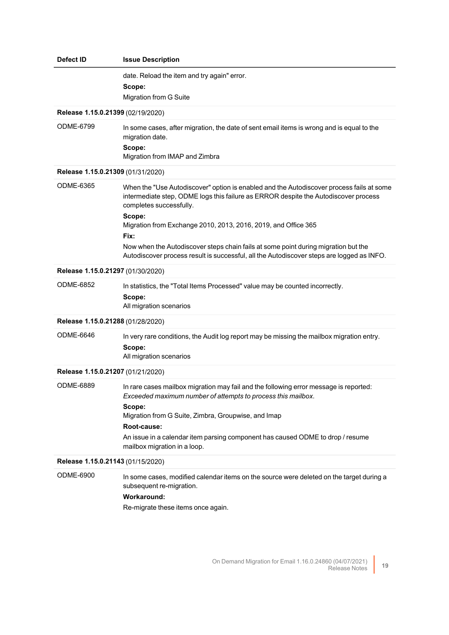| Defect ID                         | <b>Issue Description</b>                                                                                                                                                                                                                                                                                                                                                             |
|-----------------------------------|--------------------------------------------------------------------------------------------------------------------------------------------------------------------------------------------------------------------------------------------------------------------------------------------------------------------------------------------------------------------------------------|
|                                   | date. Reload the item and try again" error.<br>Scope:<br>Migration from G Suite                                                                                                                                                                                                                                                                                                      |
| Release 1.15.0.21399 (02/19/2020) |                                                                                                                                                                                                                                                                                                                                                                                      |
| <b>ODME-6799</b>                  | In some cases, after migration, the date of sent email items is wrong and is equal to the<br>migration date.<br>Scope:<br>Migration from IMAP and Zimbra                                                                                                                                                                                                                             |
| Release 1.15.0.21309 (01/31/2020) |                                                                                                                                                                                                                                                                                                                                                                                      |
| <b>ODME-6365</b>                  | When the "Use Autodiscover" option is enabled and the Autodiscover process fails at some<br>intermediate step, ODME logs this failure as ERROR despite the Autodiscover process<br>completes successfully.<br>Scope:<br>Migration from Exchange 2010, 2013, 2016, 2019, and Office 365<br>Fix:<br>Now when the Autodiscover steps chain fails at some point during migration but the |
|                                   | Autodiscover process result is successful, all the Autodiscover steps are logged as INFO.                                                                                                                                                                                                                                                                                            |
| Release 1.15.0.21297 (01/30/2020) |                                                                                                                                                                                                                                                                                                                                                                                      |
| <b>ODME-6852</b>                  | In statistics, the "Total Items Processed" value may be counted incorrectly.<br>Scope:<br>All migration scenarios                                                                                                                                                                                                                                                                    |
| Release 1.15.0.21288 (01/28/2020) |                                                                                                                                                                                                                                                                                                                                                                                      |
| <b>ODME-6646</b>                  | In very rare conditions, the Audit log report may be missing the mailbox migration entry.<br>Scope:<br>All migration scenarios                                                                                                                                                                                                                                                       |
| Release 1.15.0.21207 (01/21/2020) |                                                                                                                                                                                                                                                                                                                                                                                      |
| ODME-6889                         | In rare cases mailbox migration may fail and the following error message is reported:<br>Exceeded maximum number of attempts to process this mailbox.<br>Scope:<br>Migration from G Suite, Zimbra, Groupwise, and Imap<br>Root-cause:<br>An issue in a calendar item parsing component has caused ODME to drop / resume<br>mailbox migration in a loop.                              |
| Release 1.15.0.21143 (01/15/2020) |                                                                                                                                                                                                                                                                                                                                                                                      |
| ODME-6900                         | In some cases, modified calendar items on the source were deleted on the target during a<br>subsequent re-migration.<br><b>Workaround:</b><br>Re-migrate these items once again.                                                                                                                                                                                                     |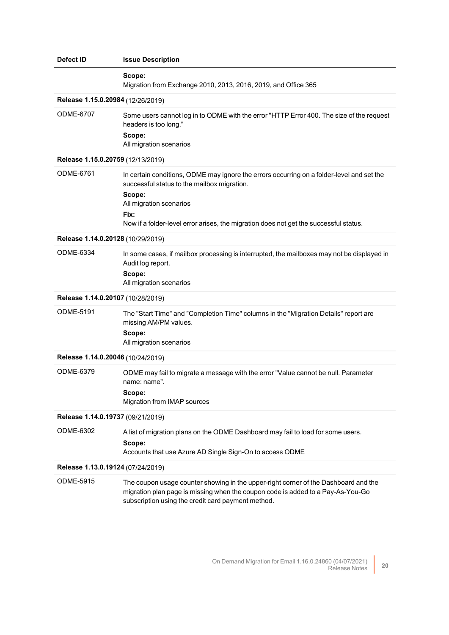| Defect ID                         | <b>Issue Description</b>                                                                                                                                                                                                                                                       |  |
|-----------------------------------|--------------------------------------------------------------------------------------------------------------------------------------------------------------------------------------------------------------------------------------------------------------------------------|--|
|                                   | Scope:<br>Migration from Exchange 2010, 2013, 2016, 2019, and Office 365                                                                                                                                                                                                       |  |
| Release 1.15.0.20984 (12/26/2019) |                                                                                                                                                                                                                                                                                |  |
| <b>ODME-6707</b>                  | Some users cannot log in to ODME with the error "HTTP Error 400. The size of the request<br>headers is too long."<br>Scope:<br>All migration scenarios                                                                                                                         |  |
| Release 1.15.0.20759 (12/13/2019) |                                                                                                                                                                                                                                                                                |  |
| <b>ODME-6761</b>                  | In certain conditions, ODME may ignore the errors occurring on a folder-level and set the<br>successful status to the mailbox migration.<br>Scope:<br>All migration scenarios<br>Fix:<br>Now if a folder-level error arises, the migration does not get the successful status. |  |
| Release 1.14.0.20128 (10/29/2019) |                                                                                                                                                                                                                                                                                |  |
| ODME-6334                         | In some cases, if mailbox processing is interrupted, the mailboxes may not be displayed in<br>Audit log report.<br>Scope:<br>All migration scenarios                                                                                                                           |  |
| Release 1.14.0.20107 (10/28/2019) |                                                                                                                                                                                                                                                                                |  |
| ODME-5191                         | The "Start Time" and "Completion Time" columns in the "Migration Details" report are<br>missing AM/PM values.<br>Scope:<br>All migration scenarios                                                                                                                             |  |
| Release 1.14.0.20046 (10/24/2019) |                                                                                                                                                                                                                                                                                |  |
| <b>ODME-6379</b>                  | ODME may fail to migrate a message with the error "Value cannot be null. Parameter<br>name: name".<br>Scope:<br>Migration from IMAP sources                                                                                                                                    |  |
| Release 1.14.0.19737 (09/21/2019) |                                                                                                                                                                                                                                                                                |  |
| ODME-6302                         | A list of migration plans on the ODME Dashboard may fail to load for some users.<br>Scope:<br>Accounts that use Azure AD Single Sign-On to access ODME                                                                                                                         |  |
| Release 1.13.0.19124 (07/24/2019) |                                                                                                                                                                                                                                                                                |  |
| ODME-5915                         | The coupon usage counter showing in the upper-right corner of the Dashboard and the<br>migration plan page is missing when the coupon code is added to a Pay-As-You-Go<br>subscription using the credit card payment method.                                                   |  |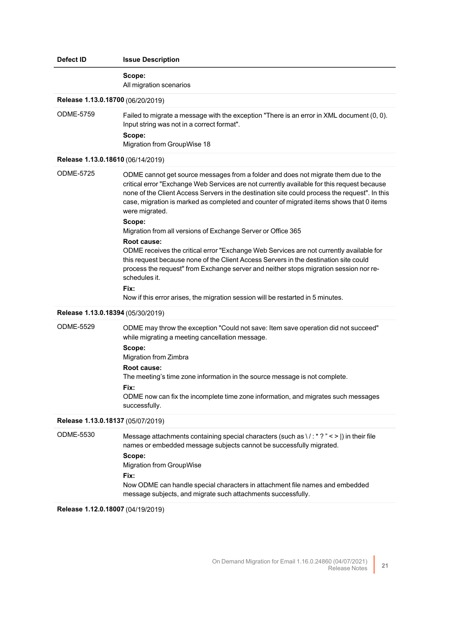| Defect ID                         | <b>Issue Description</b>                                                                                                                                                                                                                                                                                                                                                                                                                                                                                                                                                                                                                                                                                                                                                                                                                                                        |  |
|-----------------------------------|---------------------------------------------------------------------------------------------------------------------------------------------------------------------------------------------------------------------------------------------------------------------------------------------------------------------------------------------------------------------------------------------------------------------------------------------------------------------------------------------------------------------------------------------------------------------------------------------------------------------------------------------------------------------------------------------------------------------------------------------------------------------------------------------------------------------------------------------------------------------------------|--|
|                                   | Scope:<br>All migration scenarios                                                                                                                                                                                                                                                                                                                                                                                                                                                                                                                                                                                                                                                                                                                                                                                                                                               |  |
| Release 1.13.0.18700 (06/20/2019) |                                                                                                                                                                                                                                                                                                                                                                                                                                                                                                                                                                                                                                                                                                                                                                                                                                                                                 |  |
| <b>ODME-5759</b>                  | Failed to migrate a message with the exception "There is an error in XML document (0, 0).<br>Input string was not in a correct format".<br>Scope:<br>Migration from GroupWise 18                                                                                                                                                                                                                                                                                                                                                                                                                                                                                                                                                                                                                                                                                                |  |
| Release 1.13.0.18610 (06/14/2019) |                                                                                                                                                                                                                                                                                                                                                                                                                                                                                                                                                                                                                                                                                                                                                                                                                                                                                 |  |
| <b>ODME-5725</b>                  | ODME cannot get source messages from a folder and does not migrate them due to the<br>critical error "Exchange Web Services are not currently available for this request because<br>none of the Client Access Servers in the destination site could process the request". In this<br>case, migration is marked as completed and counter of migrated items shows that 0 items<br>were migrated.<br>Scope:<br>Migration from all versions of Exchange Server or Office 365<br>Root cause:<br>ODME receives the critical error "Exchange Web Services are not currently available for<br>this request because none of the Client Access Servers in the destination site could<br>process the request" from Exchange server and neither stops migration session nor re-<br>schedules it.<br>Fix:<br>Now if this error arises, the migration session will be restarted in 5 minutes. |  |
| Release 1.13.0.18394 (05/30/2019) |                                                                                                                                                                                                                                                                                                                                                                                                                                                                                                                                                                                                                                                                                                                                                                                                                                                                                 |  |
| ODME-5529                         | ODME may throw the exception "Could not save: Item save operation did not succeed"<br>while migrating a meeting cancellation message.<br>Scope:<br>Migration from Zimbra<br>Root cause:<br>The meeting's time zone information in the source message is not complete.<br>Fix:<br>ODME now can fix the incomplete time zone information, and migrates such messages<br>successfully.                                                                                                                                                                                                                                                                                                                                                                                                                                                                                             |  |
| Release 1.13.0.18137 (05/07/2019) |                                                                                                                                                                                                                                                                                                                                                                                                                                                                                                                                                                                                                                                                                                                                                                                                                                                                                 |  |
| ODME-5530                         | Message attachments containing special characters (such as \/:*?" < >  ) in their file<br>names or embedded message subjects cannot be successfully migrated.<br>Scope:<br><b>Migration from GroupWise</b><br>Fix:<br>Now ODME can handle special characters in attachment file names and embedded<br>message subjects, and migrate such attachments successfully.                                                                                                                                                                                                                                                                                                                                                                                                                                                                                                              |  |
| Release 1.12.0.18007 (04/19/2019) |                                                                                                                                                                                                                                                                                                                                                                                                                                                                                                                                                                                                                                                                                                                                                                                                                                                                                 |  |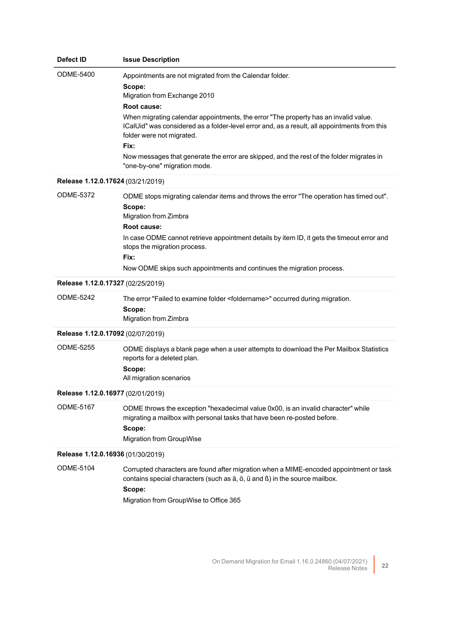| <b>Defect ID</b>                  | <b>Issue Description</b>                                                                                                                                                                                                                                                                                                                                                                                                                                                 |
|-----------------------------------|--------------------------------------------------------------------------------------------------------------------------------------------------------------------------------------------------------------------------------------------------------------------------------------------------------------------------------------------------------------------------------------------------------------------------------------------------------------------------|
| ODME-5400                         | Appointments are not migrated from the Calendar folder.<br>Scope:<br>Migration from Exchange 2010<br>Root cause:<br>When migrating calendar appointments, the error "The property has an invalid value.<br>ICalUid" was considered as a folder-level error and, as a result, all appointments from this<br>folder were not migrated.<br>Fix:<br>Now messages that generate the error are skipped, and the rest of the folder migrates in<br>"one-by-one" migration mode. |
| Release 1.12.0.17624 (03/21/2019) |                                                                                                                                                                                                                                                                                                                                                                                                                                                                          |
| ODME-5372                         | ODME stops migrating calendar items and throws the error "The operation has timed out".<br>Scope:<br>Migration from Zimbra<br>Root cause:<br>In case ODME cannot retrieve appointment details by item ID, it gets the timeout error and<br>stops the migration process.<br>Fix:<br>Now ODME skips such appointments and continues the migration process.                                                                                                                 |
| Release 1.12.0.17327 (02/25/2019) |                                                                                                                                                                                                                                                                                                                                                                                                                                                                          |
| ODME-5242                         | The error "Failed to examine folder <foldername>" occurred during migration.<br/>Scope:<br/>Migration from Zimbra</foldername>                                                                                                                                                                                                                                                                                                                                           |
| Release 1.12.0.17092 (02/07/2019) |                                                                                                                                                                                                                                                                                                                                                                                                                                                                          |
| <b>ODME-5255</b>                  | ODME displays a blank page when a user attempts to download the Per Mailbox Statistics<br>reports for a deleted plan.<br>Scope:<br>All migration scenarios                                                                                                                                                                                                                                                                                                               |
| Release 1.12.0.16977 (02/01/2019) |                                                                                                                                                                                                                                                                                                                                                                                                                                                                          |
| <b>ODME-5167</b>                  | ODME throws the exception "hexadecimal value 0x00, is an invalid character" while<br>migrating a mailbox with personal tasks that have been re-posted before.<br>Scope:<br><b>Migration from GroupWise</b>                                                                                                                                                                                                                                                               |
| Release 1.12.0.16936 (01/30/2019) |                                                                                                                                                                                                                                                                                                                                                                                                                                                                          |
| <b>ODME-5104</b>                  | Corrupted characters are found after migration when a MIME-encoded appointment or task<br>contains special characters (such as ä, ö, ü and ß) in the source mailbox.<br>Scope:<br>Migration from GroupWise to Office 365                                                                                                                                                                                                                                                 |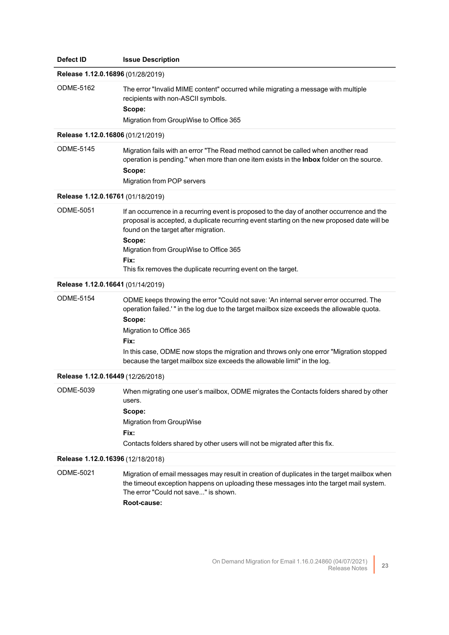| Defect ID                         | <b>Issue Description</b>                                                                                                                                                                                                                                                                                                                                                                                 |
|-----------------------------------|----------------------------------------------------------------------------------------------------------------------------------------------------------------------------------------------------------------------------------------------------------------------------------------------------------------------------------------------------------------------------------------------------------|
| Release 1.12.0.16896 (01/28/2019) |                                                                                                                                                                                                                                                                                                                                                                                                          |
| <b>ODME-5162</b>                  | The error "Invalid MIME content" occurred while migrating a message with multiple<br>recipients with non-ASCII symbols.<br>Scope:<br>Migration from GroupWise to Office 365                                                                                                                                                                                                                              |
| Release 1.12.0.16806 (01/21/2019) |                                                                                                                                                                                                                                                                                                                                                                                                          |
| <b>ODME-5145</b>                  | Migration fails with an error "The Read method cannot be called when another read<br>operation is pending." when more than one item exists in the Inbox folder on the source.<br>Scope:<br>Migration from POP servers                                                                                                                                                                                    |
| Release 1.12.0.16761 (01/18/2019) |                                                                                                                                                                                                                                                                                                                                                                                                          |
| <b>ODME-5051</b>                  | If an occurrence in a recurring event is proposed to the day of another occurrence and the<br>proposal is accepted, a duplicate recurring event starting on the new proposed date will be<br>found on the target after migration.<br>Scope:<br>Migration from GroupWise to Office 365<br>Fix:<br>This fix removes the duplicate recurring event on the target.                                           |
| Release 1.12.0.16641 (01/14/2019) |                                                                                                                                                                                                                                                                                                                                                                                                          |
| <b>ODME-5154</b>                  | ODME keeps throwing the error "Could not save: 'An internal server error occurred. The<br>operation failed.'" in the log due to the target mailbox size exceeds the allowable quota.<br>Scope:<br>Migration to Office 365<br>Fix:<br>In this case, ODME now stops the migration and throws only one error "Migration stopped<br>because the target mailbox size exceeds the allowable limit" in the log. |
| Release 1.12.0.16449 (12/26/2018) |                                                                                                                                                                                                                                                                                                                                                                                                          |
| ODME-5039                         | When migrating one user's mailbox, ODME migrates the Contacts folders shared by other<br>users.<br>Scope:<br><b>Migration from GroupWise</b><br>Fix:<br>Contacts folders shared by other users will not be migrated after this fix.                                                                                                                                                                      |
| Release 1.12.0.16396 (12/18/2018) |                                                                                                                                                                                                                                                                                                                                                                                                          |
| ODME-5021                         | Migration of email messages may result in creation of duplicates in the target mailbox when<br>the timeout exception happens on uploading these messages into the target mail system.<br>The error "Could not save" is shown.<br>Root-cause:                                                                                                                                                             |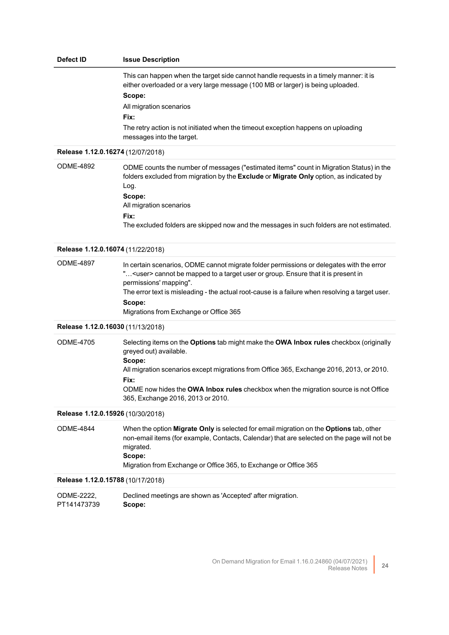## **Defect ID Issue Description** This can happen when the target side cannot handle requests in a timely manner: it is either overloaded or a very large message (100 MB or larger) is being uploaded.

**Scope:** All migration scenarios **Fix:** The retry action is not initiated when the timeout exception happens on uploading messages into the target.

#### **Release 1.12.0.16274** (12/07/2018)

ODME-4892 ODME counts the number of messages ("estimated items" count in Migration Status) in the folders excluded from migration by the **Exclude** or **Migrate Only** option, as indicated by Log. **Scope:** All migration scenarios **Fix:** The excluded folders are skipped now and the messages in such folders are not estimated.

#### **Release 1.12.0.16074** (11/22/2018)

ODME-4897 In certain scenarios, ODME cannot migrate folder permissions or delegates with the error "…<user> cannot be mapped to a target user or group. Ensure that it is present in permissions' mapping". The error text is misleading - the actual root-cause is a failure when resolving a target user. **Scope:** Migrations from Exchange or Office 365

#### **Release 1.12.0.16030** (11/13/2018)

ODME-4705 Selecting items on the **Options** tab might make the **OWA Inbox rules** checkbox (originally greyed out) available. **Scope:** All migration scenarios except migrations from Office 365, Exchange 2016, 2013, or 2010. **Fix:** ODME now hides the **OWA Inbox rules** checkbox when the migration source is not Office 365, Exchange 2016, 2013 or 2010.

### **Release 1.12.0.15926** (10/30/2018)

ODME-4844 When the option **Migrate Only** is selected for email migration on the **Options** tab, other non-email items (for example, Contacts, Calendar) that are selected on the page will not be migrated. **Scope:** Migration from Exchange or Office 365, to Exchange or Office 365

**Release 1.12.0.15788** (10/17/2018)

| ODME-2222.  | Declined meetings are shown as 'Accepted' after migration. |
|-------------|------------------------------------------------------------|
| PT141473739 | Scope:                                                     |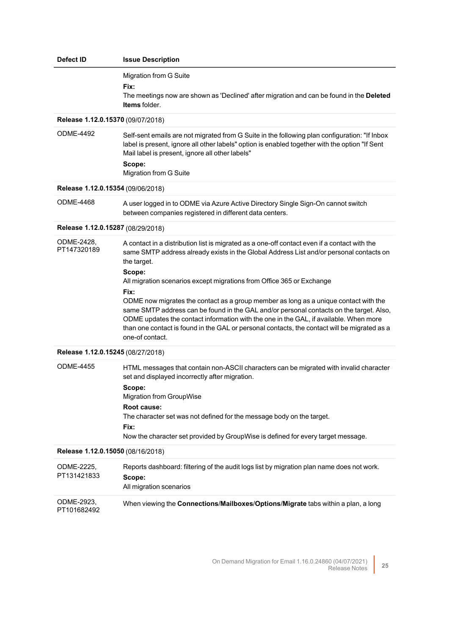| Defect ID                         | <b>Issue Description</b>                                                                                                                                                                                                                                                                                                                                                                                                                                                                                                                                                                                                                                                                         |
|-----------------------------------|--------------------------------------------------------------------------------------------------------------------------------------------------------------------------------------------------------------------------------------------------------------------------------------------------------------------------------------------------------------------------------------------------------------------------------------------------------------------------------------------------------------------------------------------------------------------------------------------------------------------------------------------------------------------------------------------------|
|                                   | Migration from G Suite<br>Fix:<br>The meetings now are shown as 'Declined' after migration and can be found in the Deleted<br><b>Items</b> folder.                                                                                                                                                                                                                                                                                                                                                                                                                                                                                                                                               |
| Release 1.12.0.15370 (09/07/2018) |                                                                                                                                                                                                                                                                                                                                                                                                                                                                                                                                                                                                                                                                                                  |
| <b>ODME-4492</b>                  | Self-sent emails are not migrated from G Suite in the following plan configuration: "If Inbox<br>label is present, ignore all other labels" option is enabled together with the option "If Sent<br>Mail label is present, ignore all other labels"<br>Scope:<br>Migration from G Suite                                                                                                                                                                                                                                                                                                                                                                                                           |
| Release 1.12.0.15354 (09/06/2018) |                                                                                                                                                                                                                                                                                                                                                                                                                                                                                                                                                                                                                                                                                                  |
| <b>ODME-4468</b>                  | A user logged in to ODME via Azure Active Directory Single Sign-On cannot switch<br>between companies registered in different data centers.                                                                                                                                                                                                                                                                                                                                                                                                                                                                                                                                                      |
| Release 1.12.0.15287 (08/29/2018) |                                                                                                                                                                                                                                                                                                                                                                                                                                                                                                                                                                                                                                                                                                  |
| ODME-2428,<br>PT147320189         | A contact in a distribution list is migrated as a one-off contact even if a contact with the<br>same SMTP address already exists in the Global Address List and/or personal contacts on<br>the target.<br>Scope:<br>All migration scenarios except migrations from Office 365 or Exchange<br>Fix:<br>ODME now migrates the contact as a group member as long as a unique contact with the<br>same SMTP address can be found in the GAL and/or personal contacts on the target. Also,<br>ODME updates the contact information with the one in the GAL, if available. When more<br>than one contact is found in the GAL or personal contacts, the contact will be migrated as a<br>one-of contact. |
| Release 1.12.0.15245 (08/27/2018) |                                                                                                                                                                                                                                                                                                                                                                                                                                                                                                                                                                                                                                                                                                  |
| <b>ODME-4455</b>                  | HTML messages that contain non-ASCII characters can be migrated with invalid character<br>set and displayed incorrectly after migration.<br>Scope:<br>Migration from GroupWise<br>Root cause:<br>The character set was not defined for the message body on the target.<br>Fix:<br>Now the character set provided by GroupWise is defined for every target message.                                                                                                                                                                                                                                                                                                                               |
| Release 1.12.0.15050 (08/16/2018) |                                                                                                                                                                                                                                                                                                                                                                                                                                                                                                                                                                                                                                                                                                  |
| ODME-2225,<br>PT131421833         | Reports dashboard: filtering of the audit logs list by migration plan name does not work.<br>Scope:<br>All migration scenarios                                                                                                                                                                                                                                                                                                                                                                                                                                                                                                                                                                   |
| ODME-2923,                        | When viewing the Connections/Mailboxes/Options/Migrate tabs within a plan, a long                                                                                                                                                                                                                                                                                                                                                                                                                                                                                                                                                                                                                |

PT101682492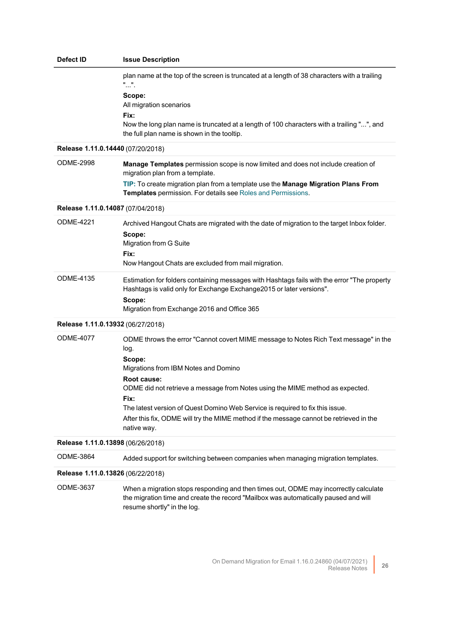| Defect ID                         | <b>Issue Description</b>                                                                                                                                                                                                                                                                                                                                                                                                                          |
|-----------------------------------|---------------------------------------------------------------------------------------------------------------------------------------------------------------------------------------------------------------------------------------------------------------------------------------------------------------------------------------------------------------------------------------------------------------------------------------------------|
|                                   | plan name at the top of the screen is truncated at a length of 38 characters with a trailing<br>""<br>Scope:<br>All migration scenarios<br>Fix:<br>Now the long plan name is truncated at a length of 100 characters with a trailing "", and<br>the full plan name is shown in the tooltip.                                                                                                                                                       |
| Release 1.11.0.14440 (07/20/2018) |                                                                                                                                                                                                                                                                                                                                                                                                                                                   |
| <b>ODME-2998</b>                  | Manage Templates permission scope is now limited and does not include creation of<br>migration plan from a template.<br>TIP: To create migration plan from a template use the Manage Migration Plans From<br>Templates permission. For details see Roles and Permissions.                                                                                                                                                                         |
| Release 1.11.0.14087 (07/04/2018) |                                                                                                                                                                                                                                                                                                                                                                                                                                                   |
| <b>ODME-4221</b>                  | Archived Hangout Chats are migrated with the date of migration to the target Inbox folder.<br>Scope:<br>Migration from G Suite<br>Fix:<br>Now Hangout Chats are excluded from mail migration.                                                                                                                                                                                                                                                     |
| <b>ODME-4135</b>                  | Estimation for folders containing messages with Hashtags fails with the error "The property<br>Hashtags is valid only for Exchange Exchange2015 or later versions".<br>Scope:<br>Migration from Exchange 2016 and Office 365                                                                                                                                                                                                                      |
| Release 1.11.0.13932 (06/27/2018) |                                                                                                                                                                                                                                                                                                                                                                                                                                                   |
| <b>ODME-4077</b>                  | ODME throws the error "Cannot covert MIME message to Notes Rich Text message" in the<br>log.<br>Scope:<br>Migrations from IBM Notes and Domino<br>Root cause:<br>ODME did not retrieve a message from Notes using the MIME method as expected.<br>Fix:<br>The latest version of Quest Domino Web Service is required to fix this issue.<br>After this fix, ODME will try the MIME method if the message cannot be retrieved in the<br>native way. |
| Release 1.11.0.13898 (06/26/2018) |                                                                                                                                                                                                                                                                                                                                                                                                                                                   |
| <b>ODME-3864</b>                  | Added support for switching between companies when managing migration templates.                                                                                                                                                                                                                                                                                                                                                                  |
| Release 1.11.0.13826 (06/22/2018) |                                                                                                                                                                                                                                                                                                                                                                                                                                                   |
| <b>ODME-3637</b>                  | When a migration stops responding and then times out, ODME may incorrectly calculate<br>the migration time and create the record "Mailbox was automatically paused and will<br>resume shortly" in the log.                                                                                                                                                                                                                                        |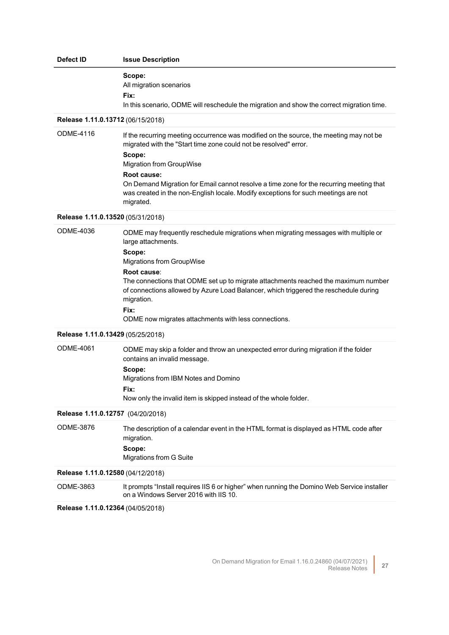| Defect ID                         | <b>Issue Description</b>                                                                                                                                                                                                                                                                                                                                                                                                   |  |
|-----------------------------------|----------------------------------------------------------------------------------------------------------------------------------------------------------------------------------------------------------------------------------------------------------------------------------------------------------------------------------------------------------------------------------------------------------------------------|--|
|                                   | Scope:<br>All migration scenarios<br>Fix:<br>In this scenario, ODME will reschedule the migration and show the correct migration time.                                                                                                                                                                                                                                                                                     |  |
| Release 1.11.0.13712 (06/15/2018) |                                                                                                                                                                                                                                                                                                                                                                                                                            |  |
| <b>ODME-4116</b>                  | If the recurring meeting occurrence was modified on the source, the meeting may not be<br>migrated with the "Start time zone could not be resolved" error.<br>Scope:<br>Migration from GroupWise<br>Root cause:<br>On Demand Migration for Email cannot resolve a time zone for the recurring meeting that<br>was created in the non-English locale. Modify exceptions for such meetings are not<br>migrated.              |  |
| Release 1.11.0.13520 (05/31/2018) |                                                                                                                                                                                                                                                                                                                                                                                                                            |  |
| <b>ODME-4036</b>                  | ODME may frequently reschedule migrations when migrating messages with multiple or<br>large attachments.<br>Scope:<br>Migrations from GroupWise<br>Root cause:<br>The connections that ODME set up to migrate attachments reached the maximum number<br>of connections allowed by Azure Load Balancer, which triggered the reschedule during<br>migration.<br>Fix:<br>ODME now migrates attachments with less connections. |  |
| Release 1.11.0.13429 (05/25/2018) |                                                                                                                                                                                                                                                                                                                                                                                                                            |  |
| <b>ODME-4061</b>                  | ODME may skip a folder and throw an unexpected error during migration if the folder<br>contains an invalid message.<br>Scope:<br>Migrations from IBM Notes and Domino<br>Fix:<br>Now only the invalid item is skipped instead of the whole folder.                                                                                                                                                                         |  |
| Release 1.11.0.12757 (04/20/2018) |                                                                                                                                                                                                                                                                                                                                                                                                                            |  |
| <b>ODME-3876</b>                  | The description of a calendar event in the HTML format is displayed as HTML code after<br>migration.<br>Scope:<br>Migrations from G Suite                                                                                                                                                                                                                                                                                  |  |
| Release 1.11.0.12580 (04/12/2018) |                                                                                                                                                                                                                                                                                                                                                                                                                            |  |
| ODME-3863                         | It prompts "Install requires IIS 6 or higher" when running the Domino Web Service installer<br>on a Windows Server 2016 with IIS 10.                                                                                                                                                                                                                                                                                       |  |
| Release 1.11.0.12364 (04/05/2018) |                                                                                                                                                                                                                                                                                                                                                                                                                            |  |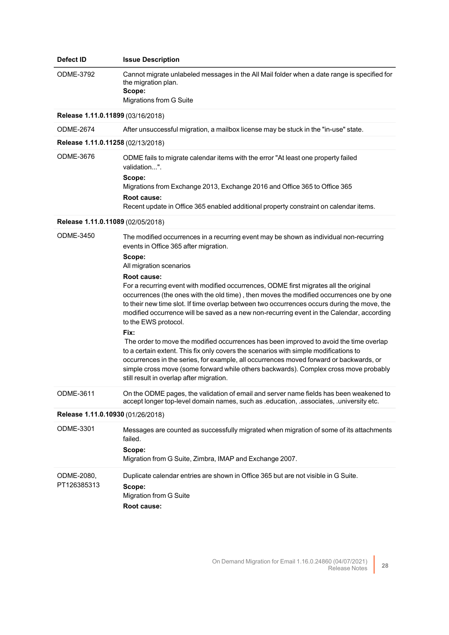| Defect ID                         | <b>Issue Description</b>                                                                                                                                                                                                                                                                                                                                                                                                                                                                                                                                                                                                                                                                                                                                                                                                                                                                                                                                                                                             |  |
|-----------------------------------|----------------------------------------------------------------------------------------------------------------------------------------------------------------------------------------------------------------------------------------------------------------------------------------------------------------------------------------------------------------------------------------------------------------------------------------------------------------------------------------------------------------------------------------------------------------------------------------------------------------------------------------------------------------------------------------------------------------------------------------------------------------------------------------------------------------------------------------------------------------------------------------------------------------------------------------------------------------------------------------------------------------------|--|
| ODME-3792                         | Cannot migrate unlabeled messages in the All Mail folder when a date range is specified for<br>the migration plan.<br>Scope:<br>Migrations from G Suite                                                                                                                                                                                                                                                                                                                                                                                                                                                                                                                                                                                                                                                                                                                                                                                                                                                              |  |
| Release 1.11.0.11899 (03/16/2018) |                                                                                                                                                                                                                                                                                                                                                                                                                                                                                                                                                                                                                                                                                                                                                                                                                                                                                                                                                                                                                      |  |
| <b>ODME-2674</b>                  | After unsuccessful migration, a mailbox license may be stuck in the "in-use" state.                                                                                                                                                                                                                                                                                                                                                                                                                                                                                                                                                                                                                                                                                                                                                                                                                                                                                                                                  |  |
| Release 1.11.0.11258 (02/13/2018) |                                                                                                                                                                                                                                                                                                                                                                                                                                                                                                                                                                                                                                                                                                                                                                                                                                                                                                                                                                                                                      |  |
| <b>ODME-3676</b>                  | ODME fails to migrate calendar items with the error "At least one property failed<br>validation".<br>Scope:<br>Migrations from Exchange 2013, Exchange 2016 and Office 365 to Office 365<br>Root cause:<br>Recent update in Office 365 enabled additional property constraint on calendar items.                                                                                                                                                                                                                                                                                                                                                                                                                                                                                                                                                                                                                                                                                                                     |  |
| Release 1.11.0.11089 (02/05/2018) |                                                                                                                                                                                                                                                                                                                                                                                                                                                                                                                                                                                                                                                                                                                                                                                                                                                                                                                                                                                                                      |  |
| <b>ODME-3450</b>                  | The modified occurrences in a recurring event may be shown as individual non-recurring<br>events in Office 365 after migration.<br>Scope:<br>All migration scenarios<br>Root cause:<br>For a recurring event with modified occurrences, ODME first migrates all the original<br>occurrences (the ones with the old time), then moves the modified occurrences one by one<br>to their new time slot. If time overlap between two occurrences occurs during the move, the<br>modified occurrence will be saved as a new non-recurring event in the Calendar, according<br>to the EWS protocol.<br>Fix:<br>The order to move the modified occurrences has been improved to avoid the time overlap<br>to a certain extent. This fix only covers the scenarios with simple modifications to<br>occurrences in the series, for example, all occurrences moved forward or backwards, or<br>simple cross move (some forward while others backwards). Complex cross move probably<br>still result in overlap after migration. |  |
| <b>ODME-3611</b>                  | On the ODME pages, the validation of email and server name fields has been weakened to<br>accept longer top-level domain names, such as education, associates, university etc.                                                                                                                                                                                                                                                                                                                                                                                                                                                                                                                                                                                                                                                                                                                                                                                                                                       |  |
| Release 1.11.0.10930 (01/26/2018) |                                                                                                                                                                                                                                                                                                                                                                                                                                                                                                                                                                                                                                                                                                                                                                                                                                                                                                                                                                                                                      |  |
| ODME-3301                         | Messages are counted as successfully migrated when migration of some of its attachments<br>failed.<br>Scope:<br>Migration from G Suite, Zimbra, IMAP and Exchange 2007.                                                                                                                                                                                                                                                                                                                                                                                                                                                                                                                                                                                                                                                                                                                                                                                                                                              |  |
| ODME-2080,<br>PT126385313         | Duplicate calendar entries are shown in Office 365 but are not visible in G Suite.<br>Scope:<br>Migration from G Suite<br>Root cause:                                                                                                                                                                                                                                                                                                                                                                                                                                                                                                                                                                                                                                                                                                                                                                                                                                                                                |  |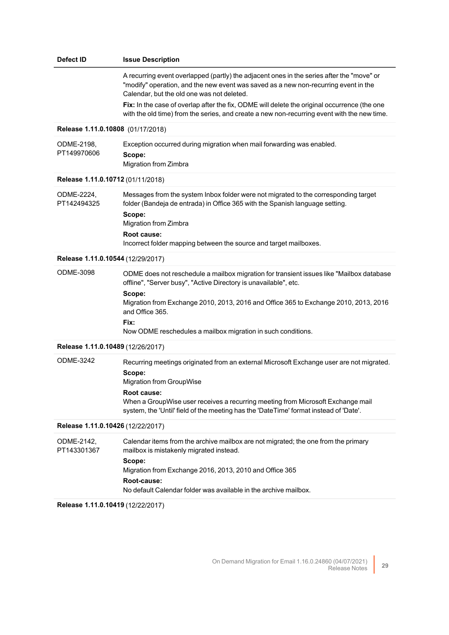## **Defect ID Issue Description**

A recurring event overlapped (partly) the adjacent ones in the series after the "move" or "modify" operation, and the new event was saved as a new non-recurring event in the Calendar, but the old one was not deleted.

**Fix:** In the case of overlap after the fix, ODME will delete the original occurrence (the one with the old time) from the series, and create a new non-recurring event with the new time.

#### **Release 1.11.0.10808** (01/17/2018)

| ODME-2198.  | Exception occurred during migration when mail forwarding was enabled. |
|-------------|-----------------------------------------------------------------------|
| PT149970606 | Scope:                                                                |
|             | Migration from Zimbra                                                 |

## **Release 1.11.0.10712** (01/11/2018)

| ODME-2224,<br>PT142494325 | Messages from the system Inbox folder were not migrated to the corresponding target<br>folder (Bandeja de entrada) in Office 365 with the Spanish language setting. |
|---------------------------|---------------------------------------------------------------------------------------------------------------------------------------------------------------------|
|                           | Scope:<br>Migration from Zimbra                                                                                                                                     |
|                           | Root cause:<br>Incorrect folder mapping between the source and target mailboxes.                                                                                    |

#### **Release 1.11.0.10544** (12/29/2017)

ODME-3098 ODME does not reschedule a mailbox migration for transient issues like "Mailbox database offline", "Server busy", "Active Directory is unavailable", etc. **Scope:** Migration from Exchange 2010, 2013, 2016 and Office 365 to Exchange 2010, 2013, 2016 and Office 365. **Fix:** Now ODME reschedules a mailbox migration in such conditions.

#### **Release 1.11.0.10489** (12/26/2017)

| ODME-3242 | Recurring meetings originated from an external Microsoft Exchange user are not migrated.<br>Scope:<br>Migration from GroupWise                                                          |
|-----------|-----------------------------------------------------------------------------------------------------------------------------------------------------------------------------------------|
|           | Root cause:<br>When a GroupWise user receives a recurring meeting from Microsoft Exchange mail<br>system, the 'Until' field of the meeting has the 'DateTime' format instead of 'Date'. |
|           | Release 1.11.0.10426 (12/22/2017)                                                                                                                                                       |

#### ODME-2142, PT143301367 Сalendar items from the archive mailbox are not migrated; the one from the primary mailbox is mistakenly migrated instead. **Scope:** Migration from Exchange 2016, 2013, 2010 and Office 365 **Root-cause:** No default Calendar folder was available in the archive mailbox.

**Release 1.11.0.10419** (12/22/2017)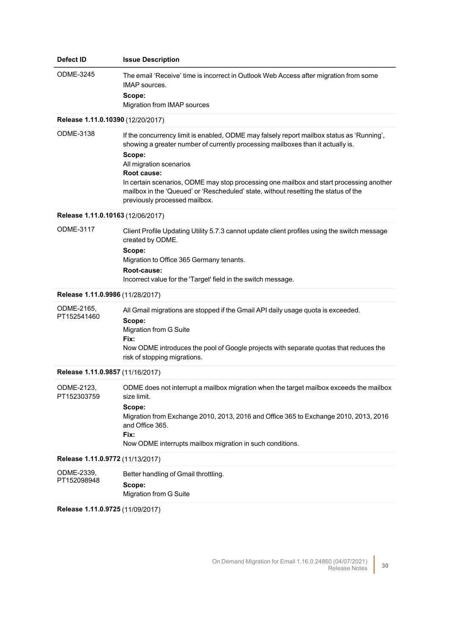| Defect ID                         | <b>Issue Description</b>                                                                                                                                                                                                                                                                                                                                                                                                                            |
|-----------------------------------|-----------------------------------------------------------------------------------------------------------------------------------------------------------------------------------------------------------------------------------------------------------------------------------------------------------------------------------------------------------------------------------------------------------------------------------------------------|
| <b>ODME-3245</b>                  | The email 'Receive' time is incorrect in Outlook Web Access after migration from some<br><b>IMAP</b> sources.<br>Scope:<br>Migration from IMAP sources                                                                                                                                                                                                                                                                                              |
| Release 1.11.0.10390 (12/20/2017) |                                                                                                                                                                                                                                                                                                                                                                                                                                                     |
| <b>ODME-3138</b>                  | If the concurrency limit is enabled, ODME may falsely report mailbox status as 'Running',<br>showing a greater number of currently processing mailboxes than it actually is.<br>Scope:<br>All migration scenarios<br>Root cause:<br>In certain scenarios, ODME may stop processing one mailbox and start processing another<br>mailbox in the 'Queued' or 'Rescheduled' state, without resetting the status of the<br>previously processed mailbox. |
| Release 1.11.0.10163 (12/06/2017) |                                                                                                                                                                                                                                                                                                                                                                                                                                                     |
| <b>ODME-3117</b>                  | Client Profile Updating Utility 5.7.3 cannot update client profiles using the switch message<br>created by ODME.<br>Scope:<br>Migration to Office 365 Germany tenants.<br>Root-cause:<br>Incorrect value for the 'Target' field in the switch message.                                                                                                                                                                                              |
| Release 1.11.0.9986 (11/28/2017)  |                                                                                                                                                                                                                                                                                                                                                                                                                                                     |
| ODME-2165,<br>PT152541460         | All Gmail migrations are stopped if the Gmail API daily usage quota is exceeded.<br>Scope:<br>Migration from G Suite<br>Fix:<br>Now ODME introduces the pool of Google projects with separate quotas that reduces the<br>risk of stopping migrations.                                                                                                                                                                                               |
| Release 1.11.0.9857 (11/16/2017)  |                                                                                                                                                                                                                                                                                                                                                                                                                                                     |
| ODME-2123.<br>PT152303759         | ODME does not interrupt a mailbox migration when the target mailbox exceeds the mailbox<br>size limit.<br>Scope:<br>Migration from Exchange 2010, 2013, 2016 and Office 365 to Exchange 2010, 2013, 2016<br>and Office 365.<br>Fix:<br>Now ODME interrupts mailbox migration in such conditions.                                                                                                                                                    |
| Release 1.11.0.9772 (11/13/2017)  |                                                                                                                                                                                                                                                                                                                                                                                                                                                     |
| ODME-2339,<br>PT152098948         | Better handling of Gmail throttling.<br>Scope:<br>Migration from G Suite                                                                                                                                                                                                                                                                                                                                                                            |

**Release 1.11.0.9725** (11/09/2017)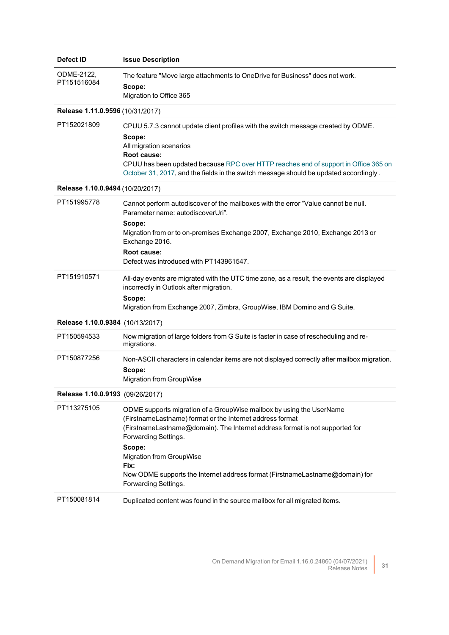| <b>Defect ID</b>                 | <b>Issue Description</b>                                                                                                                                                                                                                                                                                                                                                                               |
|----------------------------------|--------------------------------------------------------------------------------------------------------------------------------------------------------------------------------------------------------------------------------------------------------------------------------------------------------------------------------------------------------------------------------------------------------|
| ODME-2122,<br>PT151516084        | The feature "Move large attachments to OneDrive for Business" does not work.<br>Scope:<br>Migration to Office 365                                                                                                                                                                                                                                                                                      |
| Release 1.11.0.9596 (10/31/2017) |                                                                                                                                                                                                                                                                                                                                                                                                        |
| PT152021809                      | CPUU 5.7.3 cannot update client profiles with the switch message created by ODME.<br>Scope:<br>All migration scenarios<br>Root cause:<br>CPUU has been updated because RPC over HTTP reaches end of support in Office 365 on<br>October 31, 2017, and the fields in the switch message should be updated accordingly.                                                                                  |
| Release 1.10.0.9494 (10/20/2017) |                                                                                                                                                                                                                                                                                                                                                                                                        |
| PT151995778                      | Cannot perform autodiscover of the mailboxes with the error "Value cannot be null.<br>Parameter name: autodiscoverUri".<br>Scope:<br>Migration from or to on-premises Exchange 2007, Exchange 2010, Exchange 2013 or<br>Exchange 2016.<br>Root cause:<br>Defect was introduced with PT143961547.                                                                                                       |
| PT151910571                      | All-day events are migrated with the UTC time zone, as a result, the events are displayed<br>incorrectly in Outlook after migration.<br>Scope:<br>Migration from Exchange 2007, Zimbra, GroupWise, IBM Domino and G Suite.                                                                                                                                                                             |
| Release 1.10.0.9384 (10/13/2017) |                                                                                                                                                                                                                                                                                                                                                                                                        |
| PT150594533                      | Now migration of large folders from G Suite is faster in case of rescheduling and re-<br>migrations.                                                                                                                                                                                                                                                                                                   |
| PT150877256                      | Non-ASCII characters in calendar items are not displayed correctly after mailbox migration.<br>Scope:<br>Migration from GroupWise                                                                                                                                                                                                                                                                      |
| Release 1.10.0.9193 (09/26/2017) |                                                                                                                                                                                                                                                                                                                                                                                                        |
| PT113275105                      | ODME supports migration of a GroupWise mailbox by using the UserName<br>(FirstnameLastname) format or the Internet address format<br>(FirstnameLastname@domain). The Internet address format is not supported for<br>Forwarding Settings.<br>Scope:<br><b>Migration from GroupWise</b><br>Fix:<br>Now ODME supports the Internet address format (FirstnameLastname@domain) for<br>Forwarding Settings. |
| PT150081814                      | Duplicated content was found in the source mailbox for all migrated items.                                                                                                                                                                                                                                                                                                                             |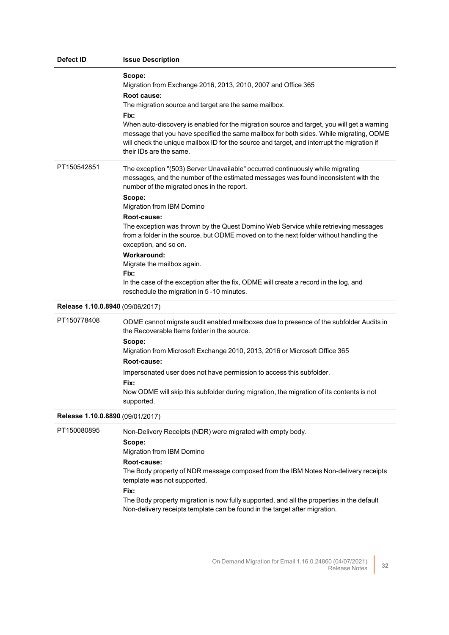| Defect ID                        | <b>Issue Description</b>                                                                                                                                                                                                                                                                                                                                                                                                                                                                                                                                                                                                                                                            |
|----------------------------------|-------------------------------------------------------------------------------------------------------------------------------------------------------------------------------------------------------------------------------------------------------------------------------------------------------------------------------------------------------------------------------------------------------------------------------------------------------------------------------------------------------------------------------------------------------------------------------------------------------------------------------------------------------------------------------------|
|                                  | Scope:<br>Migration from Exchange 2016, 2013, 2010, 2007 and Office 365<br>Root cause:<br>The migration source and target are the same mailbox.<br>Fix:<br>When auto-discovery is enabled for the migration source and target, you will get a warning<br>message that you have specified the same mailbox for both sides. While migrating, ODME<br>will check the unique mailbox ID for the source and target, and interrupt the migration if<br>their IDs are the same.                                                                                                                                                                                                            |
| PT150542851                      | The exception "(503) Server Unavailable" occurred continuously while migrating<br>messages, and the number of the estimated messages was found inconsistent with the<br>number of the migrated ones in the report.<br>Scope:<br>Migration from IBM Domino<br>Root-cause:<br>The exception was thrown by the Quest Domino Web Service while retrieving messages<br>from a folder in the source, but ODME moved on to the next folder without handling the<br>exception, and so on.<br><b>Workaround:</b><br>Migrate the mailbox again.<br>Fix:<br>In the case of the exception after the fix, ODME will create a record in the log, and<br>reschedule the migration in 5-10 minutes. |
| Release 1.10.0.8940 (09/06/2017) |                                                                                                                                                                                                                                                                                                                                                                                                                                                                                                                                                                                                                                                                                     |
| PT150778408                      | ODME cannot migrate audit enabled mailboxes due to presence of the subfolder Audits in<br>the Recoverable Items folder in the source.<br>Scope:<br>Migration from Microsoft Exchange 2010, 2013, 2016 or Microsoft Office 365<br>Root-cause:<br>Impersonated user does not have permission to access this subfolder.<br>Fix:<br>Now ODME will skip this subfolder during migration, the migration of its contents is not<br>supported.                                                                                                                                                                                                                                              |
| Release 1.10.0.8890 (09/01/2017) |                                                                                                                                                                                                                                                                                                                                                                                                                                                                                                                                                                                                                                                                                     |
| PT150080895                      | Non-Delivery Receipts (NDR) were migrated with empty body.<br>Scope:<br>Migration from IBM Domino<br>Root-cause:<br>The Body property of NDR message composed from the IBM Notes Non-delivery receipts<br>template was not supported.<br>Fix:<br>The Body property migration is now fully supported, and all the properties in the default<br>Non-delivery receipts template can be found in the target after migration.                                                                                                                                                                                                                                                            |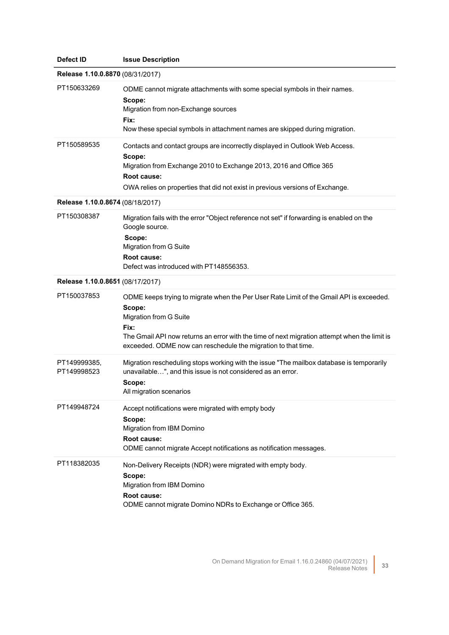| Defect ID                        | <b>Issue Description</b>                                                                                                                                                                                                                                                                             |
|----------------------------------|------------------------------------------------------------------------------------------------------------------------------------------------------------------------------------------------------------------------------------------------------------------------------------------------------|
| Release 1.10.0.8870 (08/31/2017) |                                                                                                                                                                                                                                                                                                      |
| PT150633269                      | ODME cannot migrate attachments with some special symbols in their names.<br>Scope:<br>Migration from non-Exchange sources<br>Fix:<br>Now these special symbols in attachment names are skipped during migration.                                                                                    |
| PT150589535                      | Contacts and contact groups are incorrectly displayed in Outlook Web Access.<br>Scope:<br>Migration from Exchange 2010 to Exchange 2013, 2016 and Office 365<br>Root cause:<br>OWA relies on properties that did not exist in previous versions of Exchange.                                         |
| Release 1.10.0.8674 (08/18/2017) |                                                                                                                                                                                                                                                                                                      |
| PT150308387                      | Migration fails with the error "Object reference not set" if forwarding is enabled on the<br>Google source.<br>Scope:<br>Migration from G Suite<br>Root cause:<br>Defect was introduced with PT148556353.                                                                                            |
| Release 1.10.0.8651 (08/17/2017) |                                                                                                                                                                                                                                                                                                      |
| PT150037853                      | ODME keeps trying to migrate when the Per User Rate Limit of the Gmail API is exceeded.<br>Scope:<br>Migration from G Suite<br>Fix:<br>The Gmail API now returns an error with the time of next migration attempt when the limit is<br>exceeded. ODME now can reschedule the migration to that time. |
| PT149999385,<br>PT149998523      | Migration rescheduling stops working with the issue "The mailbox database is temporarily<br>unavailable", and this issue is not considered as an error.<br>Scope:<br>All migration scenarios                                                                                                         |
| PT149948724                      | Accept notifications were migrated with empty body<br>Scope:<br>Migration from IBM Domino<br>Root cause:<br>ODME cannot migrate Accept notifications as notification messages.                                                                                                                       |
| PT118382035                      | Non-Delivery Receipts (NDR) were migrated with empty body.<br>Scope:<br>Migration from IBM Domino<br>Root cause:<br>ODME cannot migrate Domino NDRs to Exchange or Office 365.                                                                                                                       |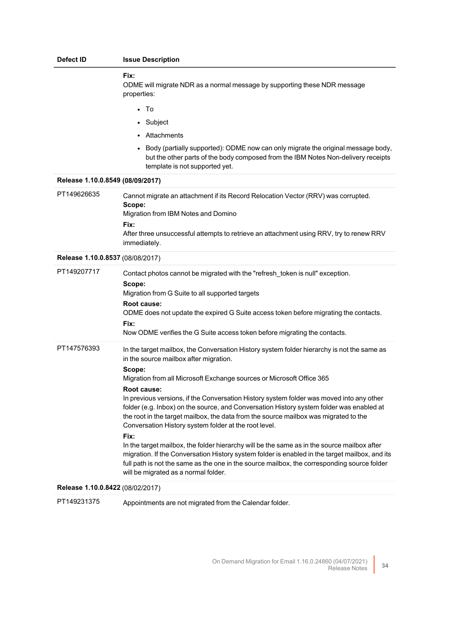| Defect ID                        | <b>Issue Description</b>                                                                                                                                                                                                                                                                                                                                                                                                                                                                                                                                                                                                                                                                                                                                                                                                                                                                |
|----------------------------------|-----------------------------------------------------------------------------------------------------------------------------------------------------------------------------------------------------------------------------------------------------------------------------------------------------------------------------------------------------------------------------------------------------------------------------------------------------------------------------------------------------------------------------------------------------------------------------------------------------------------------------------------------------------------------------------------------------------------------------------------------------------------------------------------------------------------------------------------------------------------------------------------|
|                                  | Fix:<br>ODME will migrate NDR as a normal message by supporting these NDR message<br>properties:                                                                                                                                                                                                                                                                                                                                                                                                                                                                                                                                                                                                                                                                                                                                                                                        |
|                                  | • To                                                                                                                                                                                                                                                                                                                                                                                                                                                                                                                                                                                                                                                                                                                                                                                                                                                                                    |
|                                  | • Subject                                                                                                                                                                                                                                                                                                                                                                                                                                                                                                                                                                                                                                                                                                                                                                                                                                                                               |
|                                  | • Attachments                                                                                                                                                                                                                                                                                                                                                                                                                                                                                                                                                                                                                                                                                                                                                                                                                                                                           |
|                                  | Body (partially supported): ODME now can only migrate the original message body,<br>but the other parts of the body composed from the IBM Notes Non-delivery receipts<br>template is not supported yet.                                                                                                                                                                                                                                                                                                                                                                                                                                                                                                                                                                                                                                                                                 |
| Release 1.10.0.8549 (08/09/2017) |                                                                                                                                                                                                                                                                                                                                                                                                                                                                                                                                                                                                                                                                                                                                                                                                                                                                                         |
| PT149626635                      | Cannot migrate an attachment if its Record Relocation Vector (RRV) was corrupted.<br>Scope:<br>Migration from IBM Notes and Domino<br>Fix:<br>After three unsuccessful attempts to retrieve an attachment using RRV, try to renew RRV<br>immediately.                                                                                                                                                                                                                                                                                                                                                                                                                                                                                                                                                                                                                                   |
| Release 1.10.0.8537 (08/08/2017) |                                                                                                                                                                                                                                                                                                                                                                                                                                                                                                                                                                                                                                                                                                                                                                                                                                                                                         |
| PT149207717                      | Contact photos cannot be migrated with the "refresh_token is null" exception.<br>Scope:<br>Migration from G Suite to all supported targets<br>Root cause:<br>ODME does not update the expired G Suite access token before migrating the contacts.<br>Fix:<br>Now ODME verifies the G Suite access token before migrating the contacts.                                                                                                                                                                                                                                                                                                                                                                                                                                                                                                                                                  |
| PT147576393                      | In the target mailbox, the Conversation History system folder hierarchy is not the same as<br>in the source mailbox after migration.<br>Scope:<br>Migration from all Microsoft Exchange sources or Microsoft Office 365<br>Root cause:<br>In previous versions, if the Conversation History system folder was moved into any other<br>folder (e.g. Inbox) on the source, and Conversation History system folder was enabled at<br>the root in the target mailbox, the data from the source mailbox was migrated to the<br>Conversation History system folder at the root level.<br>Fix:<br>In the target mailbox, the folder hierarchy will be the same as in the source mailbox after<br>migration. If the Conversation History system folder is enabled in the target mailbox, and its<br>full path is not the same as the one in the source mailbox, the corresponding source folder |
|                                  | will be migrated as a normal folder.                                                                                                                                                                                                                                                                                                                                                                                                                                                                                                                                                                                                                                                                                                                                                                                                                                                    |
| Release 1.10.0.8422 (08/02/2017) |                                                                                                                                                                                                                                                                                                                                                                                                                                                                                                                                                                                                                                                                                                                                                                                                                                                                                         |

PT149231375 Appointments are not migrated from the Calendar folder.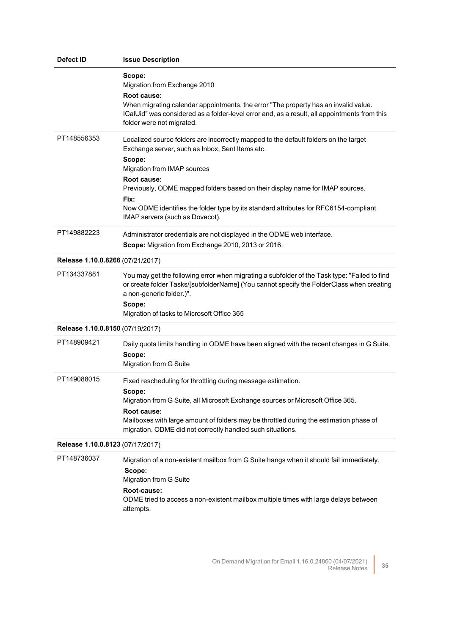| Defect ID                        | <b>Issue Description</b>                                                                                                                                                                                                                                                                                                                                                                                            |  |
|----------------------------------|---------------------------------------------------------------------------------------------------------------------------------------------------------------------------------------------------------------------------------------------------------------------------------------------------------------------------------------------------------------------------------------------------------------------|--|
|                                  | Scope:<br>Migration from Exchange 2010<br>Root cause:<br>When migrating calendar appointments, the error "The property has an invalid value.<br>ICalUid" was considered as a folder-level error and, as a result, all appointments from this<br>folder were not migrated.                                                                                                                                           |  |
| PT148556353                      | Localized source folders are incorrectly mapped to the default folders on the target<br>Exchange server, such as Inbox, Sent Items etc.<br>Scope:<br>Migration from IMAP sources<br>Root cause:<br>Previously, ODME mapped folders based on their display name for IMAP sources.<br>Fix:<br>Now ODME identifies the folder type by its standard attributes for RFC6154-compliant<br>IMAP servers (such as Dovecot). |  |
| PT149882223                      | Administrator credentials are not displayed in the ODME web interface.<br>Scope: Migration from Exchange 2010, 2013 or 2016.                                                                                                                                                                                                                                                                                        |  |
| Release 1.10.0.8266 (07/21/2017) |                                                                                                                                                                                                                                                                                                                                                                                                                     |  |
| PT134337881                      | You may get the following error when migrating a subfolder of the Task type: "Failed to find<br>or create folder Tasks/[subfolderName] (You cannot specify the FolderClass when creating<br>a non-generic folder.)".<br>Scope:<br>Migration of tasks to Microsoft Office 365                                                                                                                                        |  |
| Release 1.10.0.8150 (07/19/2017) |                                                                                                                                                                                                                                                                                                                                                                                                                     |  |
| PT148909421                      | Daily quota limits handling in ODME have been aligned with the recent changes in G Suite.<br>Scope:<br>Migration from G Suite                                                                                                                                                                                                                                                                                       |  |
| PT149088015                      | Fixed rescheduling for throttling during message estimation.<br>Scope:<br>Migration from G Suite, all Microsoft Exchange sources or Microsoft Office 365.<br>Root cause:<br>Mailboxes with large amount of folders may be throttled during the estimation phase of<br>migration. ODME did not correctly handled such situations.                                                                                    |  |
| Release 1.10.0.8123 (07/17/2017) |                                                                                                                                                                                                                                                                                                                                                                                                                     |  |
| PT148736037                      | Migration of a non-existent mailbox from G Suite hangs when it should fail immediately.<br>Scope:<br>Migration from G Suite<br>Root-cause:<br>ODME tried to access a non-existent mailbox multiple times with large delays between<br>attempts.                                                                                                                                                                     |  |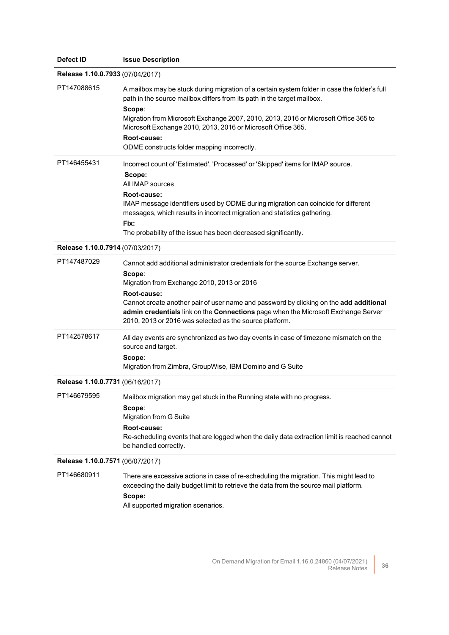| Defect ID                        | <b>Issue Description</b>                                                                                                                                                                                                                                                                                                                                                                               |
|----------------------------------|--------------------------------------------------------------------------------------------------------------------------------------------------------------------------------------------------------------------------------------------------------------------------------------------------------------------------------------------------------------------------------------------------------|
| Release 1.10.0.7933 (07/04/2017) |                                                                                                                                                                                                                                                                                                                                                                                                        |
| PT147088615                      | A mailbox may be stuck during migration of a certain system folder in case the folder's full<br>path in the source mailbox differs from its path in the target mailbox.<br>Scope:<br>Migration from Microsoft Exchange 2007, 2010, 2013, 2016 or Microsoft Office 365 to<br>Microsoft Exchange 2010, 2013, 2016 or Microsoft Office 365.<br>Root-cause:<br>ODME constructs folder mapping incorrectly. |
| PT146455431                      | Incorrect count of 'Estimated', 'Processed' or 'Skipped' items for IMAP source.<br>Scope:<br>All IMAP sources<br>Root-cause:<br>IMAP message identifiers used by ODME during migration can coincide for different<br>messages, which results in incorrect migration and statistics gathering.<br>Fix:<br>The probability of the issue has been decreased significantly.                                |
| Release 1.10.0.7914 (07/03/2017) |                                                                                                                                                                                                                                                                                                                                                                                                        |
| PT147487029                      | Cannot add additional administrator credentials for the source Exchange server.<br>Scope:<br>Migration from Exchange 2010, 2013 or 2016<br>Root-cause:<br>Cannot create another pair of user name and password by clicking on the add additional<br>admin credentials link on the Connections page when the Microsoft Exchange Server<br>2010, 2013 or 2016 was selected as the source platform.       |
| PT142578617                      | All day events are synchronized as two day events in case of timezone mismatch on the<br>source and target.<br>Scope:<br>Migration from Zimbra, GroupWise, IBM Domino and G Suite                                                                                                                                                                                                                      |
| Release 1.10.0.7731 (06/16/2017) |                                                                                                                                                                                                                                                                                                                                                                                                        |
| PT146679595                      | Mailbox migration may get stuck in the Running state with no progress.<br>Scope:<br>Migration from G Suite<br>Root-cause:<br>Re-scheduling events that are logged when the daily data extraction limit is reached cannot<br>be handled correctly.                                                                                                                                                      |
| Release 1.10.0.7571 (06/07/2017) |                                                                                                                                                                                                                                                                                                                                                                                                        |
| PT146680911                      | There are excessive actions in case of re-scheduling the migration. This might lead to<br>exceeding the daily budget limit to retrieve the data from the source mail platform.<br>Scope:<br>All supported migration scenarios.                                                                                                                                                                         |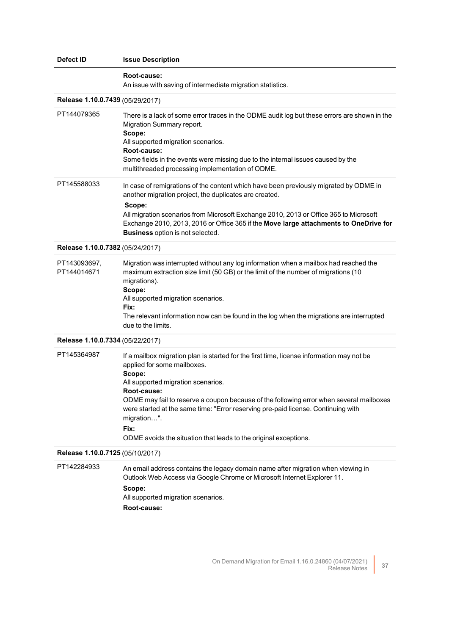| Defect ID                        | <b>Issue Description</b>                                                                                                                                                                                                                                                                                                                                                                                                                                                  |
|----------------------------------|---------------------------------------------------------------------------------------------------------------------------------------------------------------------------------------------------------------------------------------------------------------------------------------------------------------------------------------------------------------------------------------------------------------------------------------------------------------------------|
|                                  | Root-cause:<br>An issue with saving of intermediate migration statistics.                                                                                                                                                                                                                                                                                                                                                                                                 |
| Release 1.10.0.7439 (05/29/2017) |                                                                                                                                                                                                                                                                                                                                                                                                                                                                           |
| PT144079365                      | There is a lack of some error traces in the ODME audit log but these errors are shown in the<br>Migration Summary report.<br>Scope:<br>All supported migration scenarios.<br>Root-cause:<br>Some fields in the events were missing due to the internal issues caused by the<br>multithreaded processing implementation of ODME.                                                                                                                                           |
| PT145588033                      | In case of remigrations of the content which have been previously migrated by ODME in<br>another migration project, the duplicates are created.<br>Scope:<br>All migration scenarios from Microsoft Exchange 2010, 2013 or Office 365 to Microsoft<br>Exchange 2010, 2013, 2016 or Office 365 if the Move large attachments to OneDrive for<br><b>Business</b> option is not selected.                                                                                    |
| Release 1.10.0.7382 (05/24/2017) |                                                                                                                                                                                                                                                                                                                                                                                                                                                                           |
| PT143093697,<br>PT144014671      | Migration was interrupted without any log information when a mailbox had reached the<br>maximum extraction size limit (50 GB) or the limit of the number of migrations (10<br>migrations).<br>Scope:<br>All supported migration scenarios.<br>Fix:<br>The relevant information now can be found in the log when the migrations are interrupted<br>due to the limits.                                                                                                      |
| Release 1.10.0.7334 (05/22/2017) |                                                                                                                                                                                                                                                                                                                                                                                                                                                                           |
| PT145364987                      | If a mailbox migration plan is started for the first time, license information may not be<br>applied for some mailboxes.<br>Scope:<br>All supported migration scenarios.<br><b>Root-cause:</b><br>ODME may fail to reserve a coupon because of the following error when several mailboxes<br>were started at the same time: "Error reserving pre-paid license. Continuing with<br>migration".<br>Fix:<br>ODME avoids the situation that leads to the original exceptions. |
| Release 1.10.0.7125 (05/10/2017) |                                                                                                                                                                                                                                                                                                                                                                                                                                                                           |
| PT142284933                      | An email address contains the legacy domain name after migration when viewing in<br>Outlook Web Access via Google Chrome or Microsoft Internet Explorer 11.<br>Scope:<br>All supported migration scenarios.<br>Root-cause:                                                                                                                                                                                                                                                |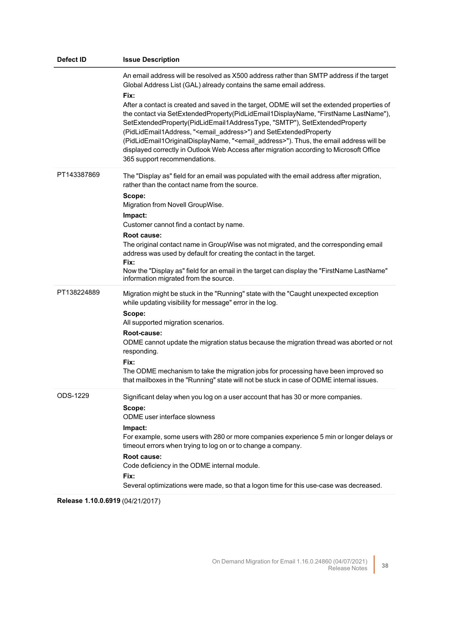| <b>Defect ID</b> | <b>Issue Description</b>                                                                                                                                                                                                                                                                                                                                                                                                                                                                                                                                                                                                                                                                                                                                               |
|------------------|------------------------------------------------------------------------------------------------------------------------------------------------------------------------------------------------------------------------------------------------------------------------------------------------------------------------------------------------------------------------------------------------------------------------------------------------------------------------------------------------------------------------------------------------------------------------------------------------------------------------------------------------------------------------------------------------------------------------------------------------------------------------|
|                  | An email address will be resolved as X500 address rather than SMTP address if the target<br>Global Address List (GAL) already contains the same email address.<br>Fix:<br>After a contact is created and saved in the target, ODME will set the extended properties of<br>the contact via SetExtendedProperty(PidLidEmail1DisplayName, "FirstName LastName"),<br>SetExtendedProperty(PidLidEmail1AddressType, "SMTP"), SetExtendedProperty<br>(PidLidEmail1Address, " <email_address>") and SetExtendedProperty<br/>(PidLidEmail1OriginalDisplayName, "<email_address>"). Thus, the email address will be<br/>displayed correctly in Outlook Web Access after migration according to Microsoft Office<br/>365 support recommendations.</email_address></email_address> |
| PT143387869      | The "Display as" field for an email was populated with the email address after migration,<br>rather than the contact name from the source.<br>Scope:<br>Migration from Novell GroupWise.<br>Impact:<br>Customer cannot find a contact by name.<br>Root cause:<br>The original contact name in GroupWise was not migrated, and the corresponding email<br>address was used by default for creating the contact in the target.<br>Fix:<br>Now the "Display as" field for an email in the target can display the "FirstName LastName"<br>information migrated from the source.                                                                                                                                                                                            |
| PT138224889      | Migration might be stuck in the "Running" state with the "Caught unexpected exception<br>while updating visibility for message" error in the log.<br>Scope:<br>All supported migration scenarios.<br>Root-cause:<br>ODME cannot update the migration status because the migration thread was aborted or not<br>responding.<br>Fix:<br>The ODME mechanism to take the migration jobs for processing have been improved so<br>that mailboxes in the "Running" state will not be stuck in case of ODME internal issues.                                                                                                                                                                                                                                                   |
| ODS-1229         | Significant delay when you log on a user account that has 30 or more companies.<br>Scope:<br>ODME user interface slowness<br>Impact:<br>For example, some users with 280 or more companies experience 5 min or longer delays or<br>timeout errors when trying to log on or to change a company.<br>Root cause:<br>Code deficiency in the ODME internal module.<br>Fix:<br>Several optimizations were made, so that a logon time for this use-case was decreased.                                                                                                                                                                                                                                                                                                       |

**Release 1.10.0.6919** (04/21/2017)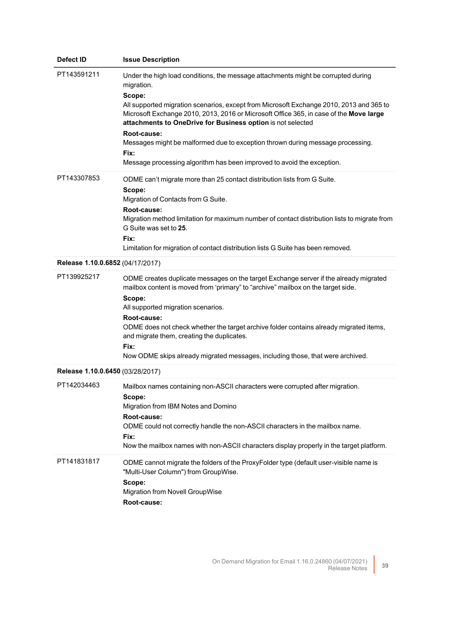| <b>Defect ID</b>                 | <b>Issue Description</b>                                                                                                                                                                                                                                                                                                                                                                                                                                                                                                                         |
|----------------------------------|--------------------------------------------------------------------------------------------------------------------------------------------------------------------------------------------------------------------------------------------------------------------------------------------------------------------------------------------------------------------------------------------------------------------------------------------------------------------------------------------------------------------------------------------------|
| PT143591211                      | Under the high load conditions, the message attachments might be corrupted during<br>migration.<br>Scope:<br>All supported migration scenarios, except from Microsoft Exchange 2010, 2013 and 365 to<br>Microsoft Exchange 2010, 2013, 2016 or Microsoft Office 365, in case of the Move large<br>attachments to OneDrive for Business option is not selected<br>Root-cause:<br>Messages might be malformed due to exception thrown during message processing.<br>Fix:<br>Message processing algorithm has been improved to avoid the exception. |
| PT143307853                      | ODME can't migrate more than 25 contact distribution lists from G Suite.<br>Scope:<br>Migration of Contacts from G Suite.<br>Root-cause:<br>Migration method limitation for maximum number of contact distribution lists to migrate from<br>G Suite was set to 25.<br>Fix:<br>Limitation for migration of contact distribution lists G Suite has been removed.                                                                                                                                                                                   |
| Release 1.10.0.6852 (04/17/2017) |                                                                                                                                                                                                                                                                                                                                                                                                                                                                                                                                                  |
| PT139925217                      | ODME creates duplicate messages on the target Exchange server if the already migrated<br>mailbox content is moved from 'primary" to "archive" mailbox on the target side.<br>Scope:<br>All supported migration scenarios.<br>Root-cause:<br>ODME does not check whether the target archive folder contains already migrated items,<br>and migrate them, creating the duplicates.<br>Fix:<br>Now ODME skips already migrated messages, including those, that were archived.                                                                       |
| Release 1.10.0.6450 (03/28/2017) |                                                                                                                                                                                                                                                                                                                                                                                                                                                                                                                                                  |
| PT142034463                      | Mailbox names containing non-ASCII characters were corrupted after migration.<br>Scope:<br>Migration from IBM Notes and Domino<br>Root-cause:<br>ODME could not correctly handle the non-ASCII characters in the mailbox name.<br>Fix:<br>Now the mailbox names with non-ASCII characters display properly in the target platform.                                                                                                                                                                                                               |
| PT141831817                      | ODME cannot migrate the folders of the ProxyFolder type (default user-visible name is<br>"Multi-User Column") from GroupWise.<br>Scope:<br>Migration from Novell GroupWise<br>Root-cause:                                                                                                                                                                                                                                                                                                                                                        |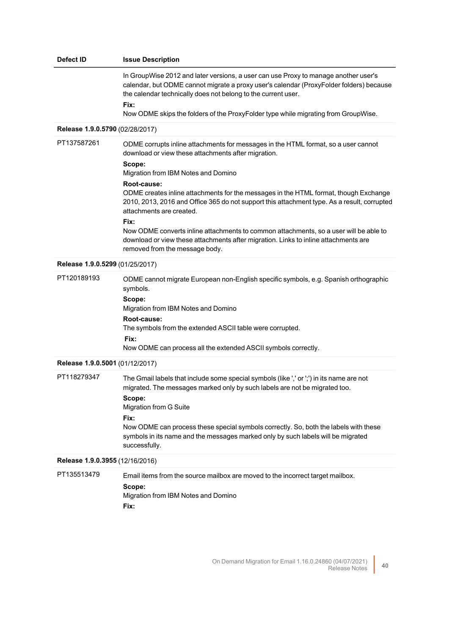| Defect ID                       | <b>Issue Description</b>                                                                                                                                                                                                                                                                                                                                                                                                                                                                                                                                                                                                                               |
|---------------------------------|--------------------------------------------------------------------------------------------------------------------------------------------------------------------------------------------------------------------------------------------------------------------------------------------------------------------------------------------------------------------------------------------------------------------------------------------------------------------------------------------------------------------------------------------------------------------------------------------------------------------------------------------------------|
|                                 | In GroupWise 2012 and later versions, a user can use Proxy to manage another user's<br>calendar, but ODME cannot migrate a proxy user's calendar (ProxyFolder folders) because<br>the calendar technically does not belong to the current user.<br>Fix:<br>Now ODME skips the folders of the ProxyFolder type while migrating from GroupWise.                                                                                                                                                                                                                                                                                                          |
| Release 1.9.0.5790 (02/28/2017) |                                                                                                                                                                                                                                                                                                                                                                                                                                                                                                                                                                                                                                                        |
| PT137587261                     | ODME corrupts inline attachments for messages in the HTML format, so a user cannot<br>download or view these attachments after migration.<br>Scope:<br>Migration from IBM Notes and Domino<br>Root-cause:<br>ODME creates inline attachments for the messages in the HTML format, though Exchange<br>2010, 2013, 2016 and Office 365 do not support this attachment type. As a result, corrupted<br>attachments are created.<br>Fix:<br>Now ODME converts inline attachments to common attachments, so a user will be able to<br>download or view these attachments after migration. Links to inline attachments are<br>removed from the message body. |
| Release 1.9.0.5299 (01/25/2017) |                                                                                                                                                                                                                                                                                                                                                                                                                                                                                                                                                                                                                                                        |
| PT120189193                     | ODME cannot migrate European non-English specific symbols, e.g. Spanish orthographic<br>symbols.<br>Scope:<br>Migration from IBM Notes and Domino<br>Root-cause:<br>The symbols from the extended ASCII table were corrupted.<br>Fix:<br>Now ODME can process all the extended ASCII symbols correctly.                                                                                                                                                                                                                                                                                                                                                |
| Release 1.9.0.5001 (01/12/2017) |                                                                                                                                                                                                                                                                                                                                                                                                                                                                                                                                                                                                                                                        |
| PT118279347                     | The Gmail labels that include some special symbols (like ',' or ';') in its name are not<br>migrated. The messages marked only by such labels are not be migrated too.<br>Scope:<br>Migration from G Suite<br>Fix:<br>Now ODME can process these special symbols correctly. So, both the labels with these<br>symbols in its name and the messages marked only by such labels will be migrated<br>successfully.                                                                                                                                                                                                                                        |
| Release 1.9.0.3955 (12/16/2016) |                                                                                                                                                                                                                                                                                                                                                                                                                                                                                                                                                                                                                                                        |
| PT135513479                     | Email items from the source mailbox are moved to the incorrect target mailbox.<br>Scope:<br>Migration from IBM Notes and Domino<br>Fix:                                                                                                                                                                                                                                                                                                                                                                                                                                                                                                                |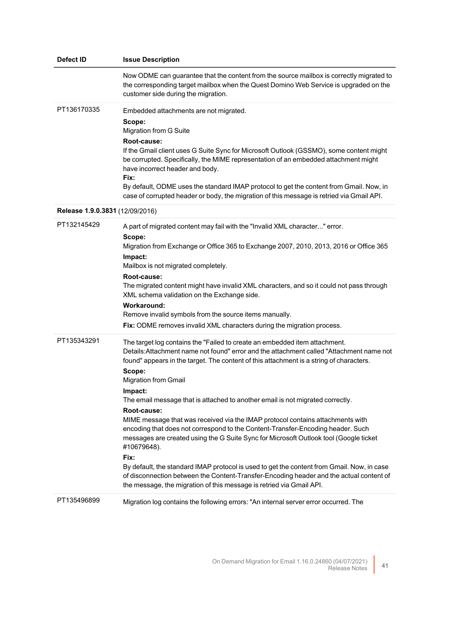| Defect ID                       | <b>Issue Description</b>                                                                                                                                                                                                                                                                                                                                                                                                                                                                                                                                                                                                                                                                                                                                                                                                                                                                                                                                                     |
|---------------------------------|------------------------------------------------------------------------------------------------------------------------------------------------------------------------------------------------------------------------------------------------------------------------------------------------------------------------------------------------------------------------------------------------------------------------------------------------------------------------------------------------------------------------------------------------------------------------------------------------------------------------------------------------------------------------------------------------------------------------------------------------------------------------------------------------------------------------------------------------------------------------------------------------------------------------------------------------------------------------------|
|                                 | Now ODME can guarantee that the content from the source mailbox is correctly migrated to<br>the corresponding target mailbox when the Quest Domino Web Service is upgraded on the<br>customer side during the migration.                                                                                                                                                                                                                                                                                                                                                                                                                                                                                                                                                                                                                                                                                                                                                     |
| PT136170335                     | Embedded attachments are not migrated.<br>Scope:<br>Migration from G Suite<br>Root-cause:<br>If the Gmail client uses G Suite Sync for Microsoft Outlook (GSSMO), some content might<br>be corrupted. Specifically, the MIME representation of an embedded attachment might<br>have incorrect header and body.<br>Fix:<br>By default, ODME uses the standard IMAP protocol to get the content from Gmail. Now, in<br>case of corrupted header or body, the migration of this message is retried via Gmail API.                                                                                                                                                                                                                                                                                                                                                                                                                                                               |
| Release 1.9.0.3831 (12/09/2016) |                                                                                                                                                                                                                                                                                                                                                                                                                                                                                                                                                                                                                                                                                                                                                                                                                                                                                                                                                                              |
| PT132145429                     | A part of migrated content may fail with the "Invalid XML character" error.<br>Scope:<br>Migration from Exchange or Office 365 to Exchange 2007, 2010, 2013, 2016 or Office 365<br>Impact:<br>Mailbox is not migrated completely.<br>Root-cause:<br>The migrated content might have invalid XML characters, and so it could not pass through<br>XML schema validation on the Exchange side.<br><b>Workaround:</b><br>Remove invalid symbols from the source items manually.<br>Fix: ODME removes invalid XML characters during the migration process.                                                                                                                                                                                                                                                                                                                                                                                                                        |
| PT135343291                     | The target log contains the "Failed to create an embedded item attachment.<br>Details: Attachment name not found" error and the attachment called "Attachment name not<br>found" appears in the target. The content of this attachment is a string of characters.<br>Scope:<br><b>Migration from Gmail</b><br>Impact:<br>The email message that is attached to another email is not migrated correctly.<br>Root-cause:<br>MIME message that was received via the IMAP protocol contains attachments with<br>encoding that does not correspond to the Content-Transfer-Encoding header. Such<br>messages are created using the G Suite Sync for Microsoft Outlook tool (Google ticket<br>#10679648).<br>Fix:<br>By default, the standard IMAP protocol is used to get the content from Gmail. Now, in case<br>of disconnection between the Content-Transfer-Encoding header and the actual content of<br>the message, the migration of this message is retried via Gmail API. |
| PT135496899                     | Migration log contains the following errors: "An internal server error occurred. The                                                                                                                                                                                                                                                                                                                                                                                                                                                                                                                                                                                                                                                                                                                                                                                                                                                                                         |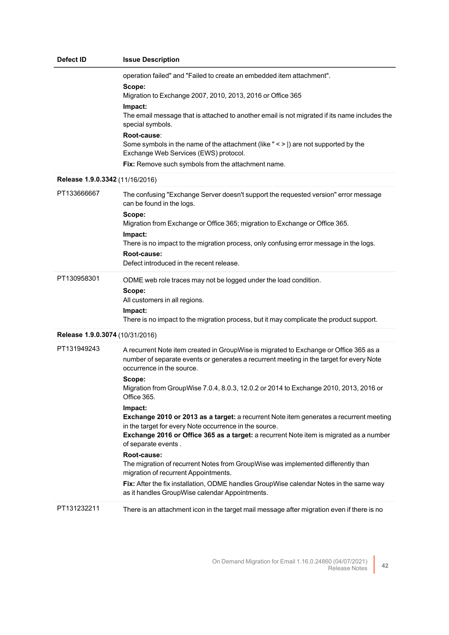| Defect ID                       | <b>Issue Description</b>                                                                                                                                                                                                                                                                                                                                                                                                                                                                                                                                                                                                                                                                                                                                                                                                                                                                               |
|---------------------------------|--------------------------------------------------------------------------------------------------------------------------------------------------------------------------------------------------------------------------------------------------------------------------------------------------------------------------------------------------------------------------------------------------------------------------------------------------------------------------------------------------------------------------------------------------------------------------------------------------------------------------------------------------------------------------------------------------------------------------------------------------------------------------------------------------------------------------------------------------------------------------------------------------------|
|                                 | operation failed" and "Failed to create an embedded item attachment".<br>Scope:<br>Migration to Exchange 2007, 2010, 2013, 2016 or Office 365<br>Impact:<br>The email message that is attached to another email is not migrated if its name includes the<br>special symbols.<br>Root-cause:<br>Some symbols in the name of the attachment (like " < >  ) are not supported by the<br>Exchange Web Services (EWS) protocol.<br>Fix: Remove such symbols from the attachment name.                                                                                                                                                                                                                                                                                                                                                                                                                       |
| Release 1.9.0.3342 (11/16/2016) |                                                                                                                                                                                                                                                                                                                                                                                                                                                                                                                                                                                                                                                                                                                                                                                                                                                                                                        |
| PT133666667                     | The confusing "Exchange Server doesn't support the requested version" error message<br>can be found in the logs.<br>Scope:<br>Migration from Exchange or Office 365; migration to Exchange or Office 365.<br>Impact:<br>There is no impact to the migration process, only confusing error message in the logs.<br>Root-cause:<br>Defect introduced in the recent release.                                                                                                                                                                                                                                                                                                                                                                                                                                                                                                                              |
| PT130958301                     | ODME web role traces may not be logged under the load condition.<br>Scope:<br>All customers in all regions.<br>Impact:<br>There is no impact to the migration process, but it may complicate the product support.                                                                                                                                                                                                                                                                                                                                                                                                                                                                                                                                                                                                                                                                                      |
| Release 1.9.0.3074 (10/31/2016) |                                                                                                                                                                                                                                                                                                                                                                                                                                                                                                                                                                                                                                                                                                                                                                                                                                                                                                        |
| PT131949243                     | A recurrent Note item created in GroupWise is migrated to Exchange or Office 365 as a<br>number of separate events or generates a recurrent meeting in the target for every Note<br>occurrence in the source.<br>Scope:<br>Migration from GroupWise 7.0.4, 8.0.3, 12.0.2 or 2014 to Exchange 2010, 2013, 2016 or<br>Office 365.<br>Impact:<br>Exchange 2010 or 2013 as a target: a recurrent Note item generates a recurrent meeting<br>in the target for every Note occurrence in the source.<br>Exchange 2016 or Office 365 as a target: a recurrent Note item is migrated as a number<br>of separate events.<br>Root-cause:<br>The migration of recurrent Notes from GroupWise was implemented differently than<br>migration of recurrent Appointments.<br>Fix: After the fix installation, ODME handles GroupWise calendar Notes in the same way<br>as it handles GroupWise calendar Appointments. |
| PT131232211                     | There is an attachment icon in the target mail message after migration even if there is no                                                                                                                                                                                                                                                                                                                                                                                                                                                                                                                                                                                                                                                                                                                                                                                                             |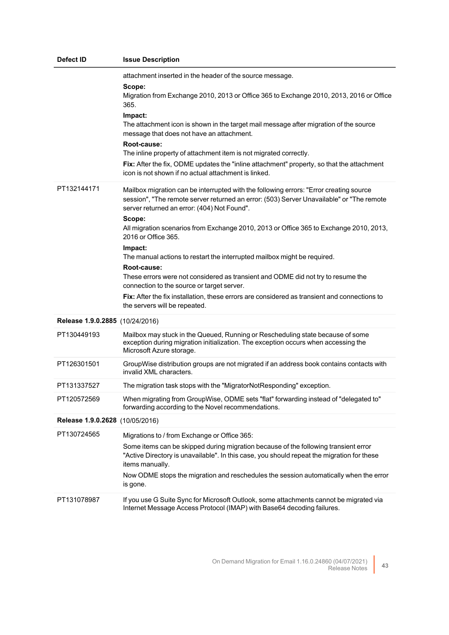| Defect ID                       | <b>Issue Description</b>                                                                                                                                                                                                                                                                                                                                                                                                                                                                                                                                                                                                                                                                                                              |
|---------------------------------|---------------------------------------------------------------------------------------------------------------------------------------------------------------------------------------------------------------------------------------------------------------------------------------------------------------------------------------------------------------------------------------------------------------------------------------------------------------------------------------------------------------------------------------------------------------------------------------------------------------------------------------------------------------------------------------------------------------------------------------|
|                                 | attachment inserted in the header of the source message.<br>Scope:<br>Migration from Exchange 2010, 2013 or Office 365 to Exchange 2010, 2013, 2016 or Office<br>365.<br>Impact:<br>The attachment icon is shown in the target mail message after migration of the source<br>message that does not have an attachment.<br>Root-cause:<br>The inline property of attachment item is not migrated correctly.<br>Fix: After the fix, ODME updates the "inline attachment" property, so that the attachment<br>icon is not shown if no actual attachment is linked.                                                                                                                                                                       |
| PT132144171                     | Mailbox migration can be interrupted with the following errors: "Error creating source<br>session", "The remote server returned an error: (503) Server Unavailable" or "The remote<br>server returned an error: (404) Not Found".<br>Scope:<br>All migration scenarios from Exchange 2010, 2013 or Office 365 to Exchange 2010, 2013,<br>2016 or Office 365.<br>Impact:<br>The manual actions to restart the interrupted mailbox might be required.<br>Root-cause:<br>These errors were not considered as transient and ODME did not try to resume the<br>connection to the source or target server.<br>Fix: After the fix installation, these errors are considered as transient and connections to<br>the servers will be repeated. |
| Release 1.9.0.2885 (10/24/2016) |                                                                                                                                                                                                                                                                                                                                                                                                                                                                                                                                                                                                                                                                                                                                       |
| PT130449193                     | Mailbox may stuck in the Queued, Running or Rescheduling state because of some<br>exception during migration initialization. The exception occurs when accessing the<br>Microsoft Azure storage.                                                                                                                                                                                                                                                                                                                                                                                                                                                                                                                                      |
| PT126301501                     | GroupWise distribution groups are not migrated if an address book contains contacts with<br>invalid XML characters.                                                                                                                                                                                                                                                                                                                                                                                                                                                                                                                                                                                                                   |
| PT131337527                     | The migration task stops with the "MigratorNotResponding" exception.                                                                                                                                                                                                                                                                                                                                                                                                                                                                                                                                                                                                                                                                  |
| PT120572569                     | When migrating from GroupWise, ODME sets "flat" forwarding instead of "delegated to"<br>forwarding according to the Novel recommendations.                                                                                                                                                                                                                                                                                                                                                                                                                                                                                                                                                                                            |
| Release 1.9.0.2628 (10/05/2016) |                                                                                                                                                                                                                                                                                                                                                                                                                                                                                                                                                                                                                                                                                                                                       |
| PT130724565                     | Migrations to / from Exchange or Office 365:<br>Some items can be skipped during migration because of the following transient error<br>"Active Directory is unavailable". In this case, you should repeat the migration for these<br>items manually.<br>Now ODME stops the migration and reschedules the session automatically when the error<br>is gone.                                                                                                                                                                                                                                                                                                                                                                             |
| PT131078987                     | If you use G Suite Sync for Microsoft Outlook, some attachments cannot be migrated via<br>Internet Message Access Protocol (IMAP) with Base64 decoding failures.                                                                                                                                                                                                                                                                                                                                                                                                                                                                                                                                                                      |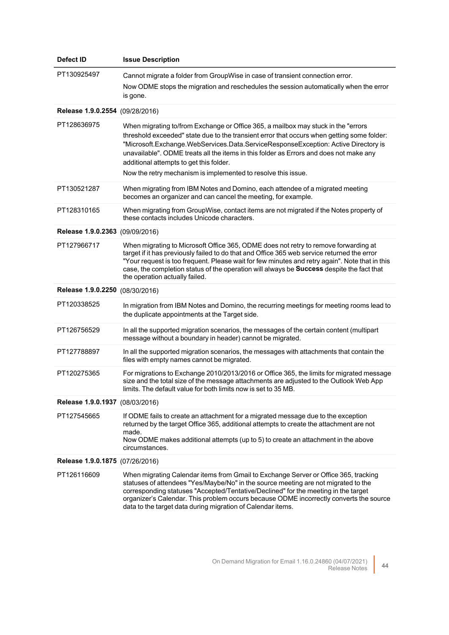| <b>Defect ID</b>                | <b>Issue Description</b>                                                                                                                                                                                                                                                                                                                                                                                                                                                    |
|---------------------------------|-----------------------------------------------------------------------------------------------------------------------------------------------------------------------------------------------------------------------------------------------------------------------------------------------------------------------------------------------------------------------------------------------------------------------------------------------------------------------------|
| PT130925497                     | Cannot migrate a folder from GroupWise in case of transient connection error.<br>Now ODME stops the migration and reschedules the session automatically when the error<br>is gone.                                                                                                                                                                                                                                                                                          |
| Release 1.9.0.2554 (09/28/2016) |                                                                                                                                                                                                                                                                                                                                                                                                                                                                             |
| PT128636975                     | When migrating to/from Exchange or Office 365, a mailbox may stuck in the "errors<br>threshold exceeded" state due to the transient error that occurs when getting some folder:<br>"Microsoft.Exchange.WebServices.Data.ServiceResponseException: Active Directory is<br>unavailable". ODME treats all the items in this folder as Errors and does not make any<br>additional attempts to get this folder.<br>Now the retry mechanism is implemented to resolve this issue. |
| PT130521287                     | When migrating from IBM Notes and Domino, each attendee of a migrated meeting<br>becomes an organizer and can cancel the meeting, for example.                                                                                                                                                                                                                                                                                                                              |
| PT128310165                     | When migrating from GroupWise, contact items are not migrated if the Notes property of<br>these contacts includes Unicode characters.                                                                                                                                                                                                                                                                                                                                       |
| Release 1.9.0.2363 (09/09/2016) |                                                                                                                                                                                                                                                                                                                                                                                                                                                                             |
| PT127966717                     | When migrating to Microsoft Office 365, ODME does not retry to remove forwarding at<br>target if it has previously failed to do that and Office 365 web service returned the error<br>"Your request is too frequent. Please wait for few minutes and retry again". Note that in this<br>case, the completion status of the operation will always be Success despite the fact that<br>the operation actually failed.                                                         |
| Release 1.9.0.2250 (08/30/2016) |                                                                                                                                                                                                                                                                                                                                                                                                                                                                             |
| PT120338525                     | In migration from IBM Notes and Domino, the recurring meetings for meeting rooms lead to<br>the duplicate appointments at the Target side.                                                                                                                                                                                                                                                                                                                                  |
| PT126756529                     | In all the supported migration scenarios, the messages of the certain content (multipart<br>message without a boundary in header) cannot be migrated.                                                                                                                                                                                                                                                                                                                       |
| PT127788897                     | In all the supported migration scenarios, the messages with attachments that contain the<br>files with empty names cannot be migrated.                                                                                                                                                                                                                                                                                                                                      |
| PT120275365                     | For migrations to Exchange 2010/2013/2016 or Office 365, the limits for migrated message<br>size and the total size of the message attachments are adjusted to the Outlook Web App<br>limits. The default value for both limits now is set to 35 MB.                                                                                                                                                                                                                        |
| Release 1.9.0.1937 (08/03/2016) |                                                                                                                                                                                                                                                                                                                                                                                                                                                                             |
| PT127545665                     | If ODME fails to create an attachment for a migrated message due to the exception<br>returned by the target Office 365, additional attempts to create the attachment are not<br>made.<br>Now ODME makes additional attempts (up to 5) to create an attachment in the above<br>circumstances.                                                                                                                                                                                |
| Release 1.9.0.1875 (07/26/2016) |                                                                                                                                                                                                                                                                                                                                                                                                                                                                             |
| PT126116609                     | When migrating Calendar items from Gmail to Exchange Server or Office 365, tracking<br>statuses of attendees "Yes/Maybe/No" in the source meeting are not migrated to the<br>corresponding statuses "Accepted/Tentative/Declined" for the meeting in the target<br>organizer's Calendar. This problem occurs because ODME incorrectly converts the source<br>data to the target data during migration of Calendar items.                                                    |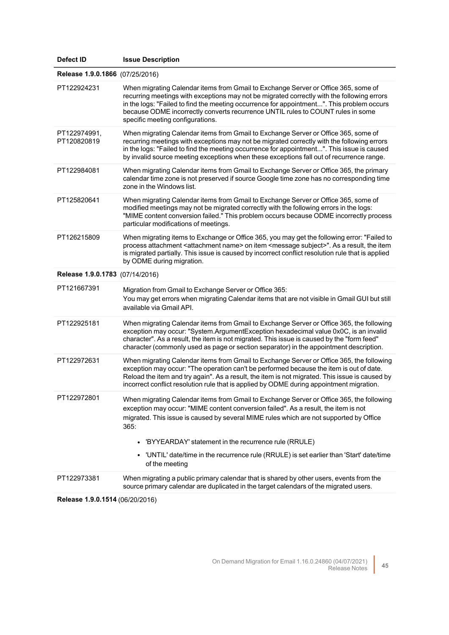| Defect ID                       | <b>Issue Description</b>                                                                                                                                                                                                                                                                                                                                                                                                                                |
|---------------------------------|---------------------------------------------------------------------------------------------------------------------------------------------------------------------------------------------------------------------------------------------------------------------------------------------------------------------------------------------------------------------------------------------------------------------------------------------------------|
| Release 1.9.0.1866 (07/25/2016) |                                                                                                                                                                                                                                                                                                                                                                                                                                                         |
| PT122924231                     | When migrating Calendar items from Gmail to Exchange Server or Office 365, some of<br>recurring meetings with exceptions may not be migrated correctly with the following errors<br>in the logs: "Failed to find the meeting occurrence for appointment". This problem occurs<br>because ODME incorrectly converts recurrence UNTIL rules to COUNT rules in some<br>specific meeting configurations.                                                    |
| PT122974991,<br>PT120820819     | When migrating Calendar items from Gmail to Exchange Server or Office 365, some of<br>recurring meetings with exceptions may not be migrated correctly with the following errors<br>in the logs: "Failed to find the meeting occurrence for appointment". This issue is caused<br>by invalid source meeting exceptions when these exceptions fall out of recurrence range.                                                                              |
| PT122984081                     | When migrating Calendar items from Gmail to Exchange Server or Office 365, the primary<br>calendar time zone is not preserved if source Google time zone has no corresponding time<br>zone in the Windows list.                                                                                                                                                                                                                                         |
| PT125820641                     | When migrating Calendar items from Gmail to Exchange Server or Office 365, some of<br>modified meetings may not be migrated correctly with the following errors in the logs:<br>"MIME content conversion failed." This problem occurs because ODME incorrectly process<br>particular modifications of meetings.                                                                                                                                         |
| PT126215809                     | When migrating items to Exchange or Office 365, you may get the following error: "Failed to<br>process attachment <attachment name=""> on item <message subject="">". As a result, the item<br/>is migrated partially. This issue is caused by incorrect conflict resolution rule that is applied<br/>by ODME during migration.</message></attachment>                                                                                                  |
| Release 1.9.0.1783 (07/14/2016) |                                                                                                                                                                                                                                                                                                                                                                                                                                                         |
| PT121667391                     | Migration from Gmail to Exchange Server or Office 365:<br>You may get errors when migrating Calendar items that are not visible in Gmail GUI but still<br>available via Gmail API.                                                                                                                                                                                                                                                                      |
| PT122925181                     | When migrating Calendar items from Gmail to Exchange Server or Office 365, the following<br>exception may occur: "System.ArgumentException hexadecimal value 0x0C, is an invalid<br>character". As a result, the item is not migrated. This issue is caused by the "form feed"<br>character (commonly used as page or section separator) in the appointment description.                                                                                |
| PT122972631                     | When migrating Calendar items from Gmail to Exchange Server or Office 365, the following<br>exception may occur: "The operation can't be performed because the item is out of date.<br>Reload the item and try again". As a result, the item is not migrated. This issue is caused by<br>incorrect conflict resolution rule that is applied by ODME during appointment migration.                                                                       |
| PT122972801                     | When migrating Calendar items from Gmail to Exchange Server or Office 365, the following<br>exception may occur: "MIME content conversion failed". As a result, the item is not<br>migrated. This issue is caused by several MIME rules which are not supported by Office<br>365:<br>• 'BYYEARDAY' statement in the recurrence rule (RRULE)<br>'UNTIL' date/time in the recurrence rule (RRULE) is set earlier than 'Start' date/time<br>of the meeting |
| PT122973381                     | When migrating a public primary calendar that is shared by other users, events from the<br>source primary calendar are duplicated in the target calendars of the migrated users.                                                                                                                                                                                                                                                                        |
|                                 |                                                                                                                                                                                                                                                                                                                                                                                                                                                         |

**Release 1.9.0.1514** (06/20/2016)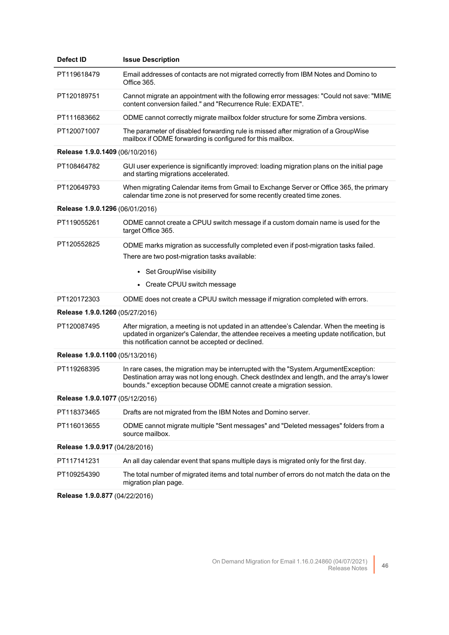| <b>Defect ID</b>                | <b>Issue Description</b>                                                                                                                                                                                                                              |
|---------------------------------|-------------------------------------------------------------------------------------------------------------------------------------------------------------------------------------------------------------------------------------------------------|
| PT119618479                     | Email addresses of contacts are not migrated correctly from IBM Notes and Domino to<br>Office 365.                                                                                                                                                    |
| PT120189751                     | Cannot migrate an appointment with the following error messages: "Could not save: "MIME<br>content conversion failed." and "Recurrence Rule: EXDATE".                                                                                                 |
| PT111683662                     | ODME cannot correctly migrate mailbox folder structure for some Zimbra versions.                                                                                                                                                                      |
| PT120071007                     | The parameter of disabled forwarding rule is missed after migration of a GroupWise<br>mailbox if ODME forwarding is configured for this mailbox.                                                                                                      |
| Release 1.9.0.1409 (06/10/2016) |                                                                                                                                                                                                                                                       |
| PT108464782                     | GUI user experience is significantly improved: loading migration plans on the initial page<br>and starting migrations accelerated.                                                                                                                    |
| PT120649793                     | When migrating Calendar items from Gmail to Exchange Server or Office 365, the primary<br>calendar time zone is not preserved for some recently created time zones.                                                                                   |
| Release 1.9.0.1296 (06/01/2016) |                                                                                                                                                                                                                                                       |
| PT119055261                     | ODME cannot create a CPUU switch message if a custom domain name is used for the<br>target Office 365.                                                                                                                                                |
| PT120552825                     | ODME marks migration as successfully completed even if post-migration tasks failed.<br>There are two post-migration tasks available:                                                                                                                  |
|                                 | Set GroupWise visibility                                                                                                                                                                                                                              |
|                                 | • Create CPUU switch message                                                                                                                                                                                                                          |
| PT120172303                     | ODME does not create a CPUU switch message if migration completed with errors.                                                                                                                                                                        |
| Release 1.9.0.1260 (05/27/2016) |                                                                                                                                                                                                                                                       |
| PT120087495                     | After migration, a meeting is not updated in an attendee's Calendar. When the meeting is<br>updated in organizer's Calendar, the attendee receives a meeting update notification, but<br>this notification cannot be accepted or declined.            |
| Release 1.9.0.1100 (05/13/2016) |                                                                                                                                                                                                                                                       |
| PT119268395                     | In rare cases, the migration may be interrupted with the "System.ArgumentException:<br>Destination array was not long enough. Check destIndex and length, and the array's lower<br>bounds." exception because ODME cannot create a migration session. |
| Release 1.9.0.1077 (05/12/2016) |                                                                                                                                                                                                                                                       |
| PT118373465                     | Drafts are not migrated from the IBM Notes and Domino server.                                                                                                                                                                                         |
| PT116013655                     | ODME cannot migrate multiple "Sent messages" and "Deleted messages" folders from a<br>source mailbox.                                                                                                                                                 |
| Release 1.9.0.917 (04/28/2016)  |                                                                                                                                                                                                                                                       |
| PT117141231                     | An all day calendar event that spans multiple days is migrated only for the first day.                                                                                                                                                                |
| PT109254390                     | The total number of migrated items and total number of errors do not match the data on the<br>migration plan page.                                                                                                                                    |
|                                 |                                                                                                                                                                                                                                                       |

**Release 1.9.0.877** (04/22/2016)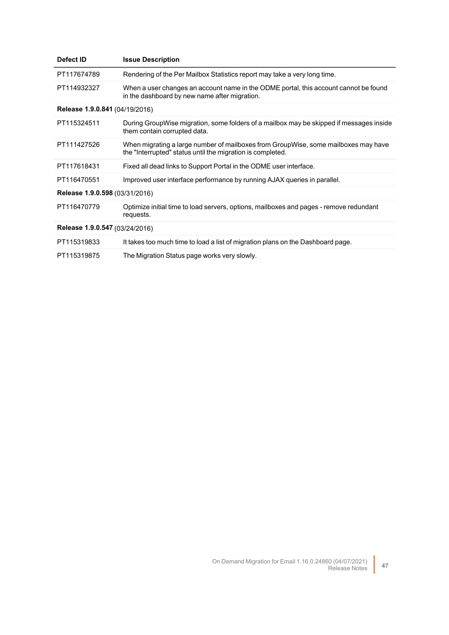| Defect ID                      | <b>Issue Description</b>                                                                                                                         |  |
|--------------------------------|--------------------------------------------------------------------------------------------------------------------------------------------------|--|
| PT117674789                    | Rendering of the Per Mailbox Statistics report may take a very long time.                                                                        |  |
| PT114932327                    | When a user changes an account name in the ODME portal, this account cannot be found<br>in the dashboard by new name after migration.            |  |
| Release 1.9.0.841 (04/19/2016) |                                                                                                                                                  |  |
| PT115324511                    | During GroupWise migration, some folders of a mailbox may be skipped if messages inside<br>them contain corrupted data.                          |  |
| PT111427526                    | When migrating a large number of mailboxes from GroupWise, some mailboxes may have<br>the "Interrupted" status until the migration is completed. |  |
| PT117618431                    | Fixed all dead links to Support Portal in the ODME user interface.                                                                               |  |
| PT116470551                    | Improved user interface performance by running AJAX queries in parallel.                                                                         |  |
| Release 1.9.0.598 (03/31/2016) |                                                                                                                                                  |  |
| PT116470779                    | Optimize initial time to load servers, options, mailboxes and pages - remove redundant<br>requests.                                              |  |
| Release 1.9.0.547 (03/24/2016) |                                                                                                                                                  |  |
| PT115319833                    | It takes too much time to load a list of migration plans on the Dashboard page.                                                                  |  |
| PT115319875                    | The Migration Status page works very slowly.                                                                                                     |  |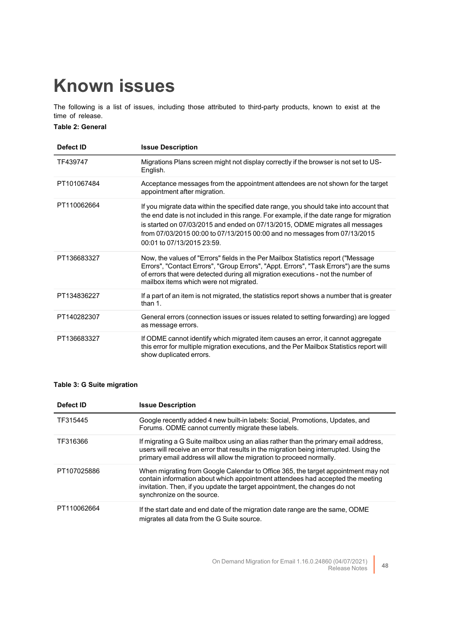# <span id="page-47-0"></span>**Known issues**

The following is a list of issues, including those attributed to third-party products, known to exist at the time of release.

**Table 2: General**

| Defect ID   | <b>Issue Description</b>                                                                                                                                                                                                                                                                                                                                                      |
|-------------|-------------------------------------------------------------------------------------------------------------------------------------------------------------------------------------------------------------------------------------------------------------------------------------------------------------------------------------------------------------------------------|
| TF439747    | Migrations Plans screen might not display correctly if the browser is not set to US-<br>English.                                                                                                                                                                                                                                                                              |
| PT101067484 | Acceptance messages from the appointment attendees are not shown for the target<br>appointment after migration.                                                                                                                                                                                                                                                               |
| PT110062664 | If you migrate data within the specified date range, you should take into account that<br>the end date is not included in this range. For example, if the date range for migration<br>is started on 07/03/2015 and ended on 07/13/2015, ODME migrates all messages<br>from 07/03/2015 00:00 to 07/13/2015 00:00 and no messages from 07/13/2015<br>00:01 to 07/13/2015 23:59. |
| PT136683327 | Now, the values of "Errors" fields in the Per Mailbox Statistics report ("Message<br>Errors", "Contact Errors", "Group Errors", "Appt. Errors", "Task Errors") are the sums<br>of errors that were detected during all migration executions - not the number of<br>mailbox items which were not migrated.                                                                     |
| PT134836227 | If a part of an item is not migrated, the statistics report shows a number that is greater<br>than 1.                                                                                                                                                                                                                                                                         |
| PT140282307 | General errors (connection issues or issues related to setting forwarding) are logged<br>as message errors.                                                                                                                                                                                                                                                                   |
| PT136683327 | If ODME cannot identify which migrated item causes an error, it cannot aggregate<br>this error for multiple migration executions, and the Per Mailbox Statistics report will<br>show duplicated errors.                                                                                                                                                                       |

## **Table 3: G Suite migration**

| Defect ID   | <b>Issue Description</b>                                                                                                                                                                                                                                                        |
|-------------|---------------------------------------------------------------------------------------------------------------------------------------------------------------------------------------------------------------------------------------------------------------------------------|
| TF315445    | Google recently added 4 new built-in labels: Social, Promotions, Updates, and<br>Forums. ODME cannot currently migrate these labels.                                                                                                                                            |
| TF316366    | If migrating a G Suite mailbox using an alias rather than the primary email address,<br>users will receive an error that results in the migration being interrupted. Using the<br>primary email address will allow the migration to proceed normally.                           |
| PT107025886 | When migrating from Google Calendar to Office 365, the target appointment may not<br>contain information about which appointment attendees had accepted the meeting<br>invitation. Then, if you update the target appointment, the changes do not<br>synchronize on the source. |
| PT110062664 | If the start date and end date of the migration date range are the same, ODME<br>migrates all data from the G Suite source.                                                                                                                                                     |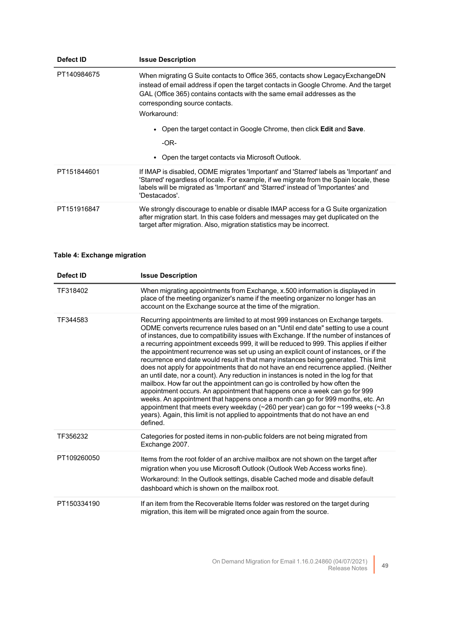| Defect ID   | <b>Issue Description</b>                                                                                                                                                                                                                                                                                                                                                                           |
|-------------|----------------------------------------------------------------------------------------------------------------------------------------------------------------------------------------------------------------------------------------------------------------------------------------------------------------------------------------------------------------------------------------------------|
| PT140984675 | When migrating G Suite contacts to Office 365, contacts show LegacyExchangeDN<br>instead of email address if open the target contacts in Google Chrome. And the target<br>GAL (Office 365) contains contacts with the same email addresses as the<br>corresponding source contacts.<br>Workaround:<br>Open the target contact in Google Chrome, then click <b>Edit</b> and <b>Save</b> .<br>$-OR-$ |
|             | Open the target contacts via Microsoft Outlook.                                                                                                                                                                                                                                                                                                                                                    |
| PT151844601 | If IMAP is disabled, ODME migrates 'Important' and 'Starred' labels as 'Important' and<br>'Starred' regardless of locale. For example, if we migrate from the Spain locale, these<br>labels will be migrated as 'Important' and 'Starred' instead of 'Importantes' and<br>'Destacados'.                                                                                                            |
| PT151916847 | We strongly discourage to enable or disable IMAP access for a G Suite organization<br>after migration start. In this case folders and messages may get duplicated on the<br>target after migration. Also, migration statistics may be incorrect.                                                                                                                                                   |

## **Table 4: Exchange migration**

| Defect ID   | <b>Issue Description</b>                                                                                                                                                                                                                                                                                                                                                                                                                                                                                                                                                                                                                                                                                                                                                                                                                                                                                                                                                                                                                                                                                                                                                         |
|-------------|----------------------------------------------------------------------------------------------------------------------------------------------------------------------------------------------------------------------------------------------------------------------------------------------------------------------------------------------------------------------------------------------------------------------------------------------------------------------------------------------------------------------------------------------------------------------------------------------------------------------------------------------------------------------------------------------------------------------------------------------------------------------------------------------------------------------------------------------------------------------------------------------------------------------------------------------------------------------------------------------------------------------------------------------------------------------------------------------------------------------------------------------------------------------------------|
| TF318402    | When migrating appointments from Exchange, x.500 information is displayed in<br>place of the meeting organizer's name if the meeting organizer no longer has an<br>account on the Exchange source at the time of the migration.                                                                                                                                                                                                                                                                                                                                                                                                                                                                                                                                                                                                                                                                                                                                                                                                                                                                                                                                                  |
| TF344583    | Recurring appointments are limited to at most 999 instances on Exchange targets.<br>ODME converts recurrence rules based on an "Until end date" setting to use a count<br>of instances, due to compatibility issues with Exchange. If the number of instances of<br>a recurring appointment exceeds 999, it will be reduced to 999. This applies if either<br>the appointment recurrence was set up using an explicit count of instances, or if the<br>recurrence end date would result in that many instances being generated. This limit<br>does not apply for appointments that do not have an end recurrence applied. (Neither<br>an until date, nor a count). Any reduction in instances is noted in the log for that<br>mailbox. How far out the appointment can go is controlled by how often the<br>appointment occurs. An appointment that happens once a week can go for 999<br>weeks. An appointment that happens once a month can go for 999 months, etc. An<br>appointment that meets every weekday ( $\sim$ 260 per year) can go for $\sim$ 199 weeks ( $\sim$ 3.8<br>years). Again, this limit is not applied to appointments that do not have an end<br>defined. |
| TF356232    | Categories for posted items in non-public folders are not being migrated from<br>Exchange 2007.                                                                                                                                                                                                                                                                                                                                                                                                                                                                                                                                                                                                                                                                                                                                                                                                                                                                                                                                                                                                                                                                                  |
| PT109260050 | Items from the root folder of an archive mailbox are not shown on the target after<br>migration when you use Microsoft Outlook (Outlook Web Access works fine).<br>Workaround: In the Outlook settings, disable Cached mode and disable default<br>dashboard which is shown on the mailbox root.                                                                                                                                                                                                                                                                                                                                                                                                                                                                                                                                                                                                                                                                                                                                                                                                                                                                                 |
| PT150334190 | If an item from the Recoverable Items folder was restored on the target during<br>migration, this item will be migrated once again from the source.                                                                                                                                                                                                                                                                                                                                                                                                                                                                                                                                                                                                                                                                                                                                                                                                                                                                                                                                                                                                                              |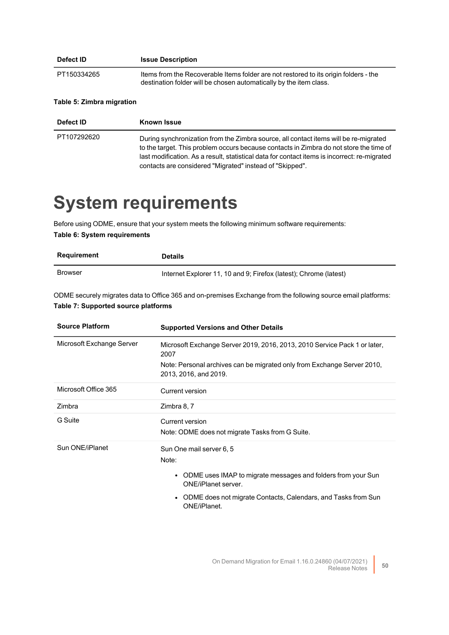| Defect ID   | <b>Issue Description</b>                                                                                                                                   |
|-------------|------------------------------------------------------------------------------------------------------------------------------------------------------------|
| PT150334265 | Items from the Recoverable Items folder are not restored to its origin folders - the<br>destination folder will be chosen automatically by the item class. |

### **Table 5: Zimbra migration**

| Defect <b>ID</b> | <b>Known Issue</b>                                                                                                                                                                                                                                                                                                                         |
|------------------|--------------------------------------------------------------------------------------------------------------------------------------------------------------------------------------------------------------------------------------------------------------------------------------------------------------------------------------------|
| PT107292620      | During synchronization from the Zimbra source, all contact items will be re-migrated<br>to the target. This problem occurs because contacts in Zimbra do not store the time of<br>last modification. As a result, statistical data for contact items is incorrect: re-migrated<br>contacts are considered "Migrated" instead of "Skipped". |

# <span id="page-49-0"></span>**System requirements**

Before using ODME, ensure that your system meets the following minimum software requirements: **Table 6: System requirements**

| Requirement    | <b>Details</b>                                                    |
|----------------|-------------------------------------------------------------------|
| <b>Browser</b> | Internet Explorer 11, 10 and 9; Firefox (latest); Chrome (latest) |

ODME securely migrates data to Office 365 and on-premises Exchange from the following source email platforms: **Table 7: Supported source platforms**

| <b>Source Platform</b>    | <b>Supported Versions and Other Details</b>                                                      |
|---------------------------|--------------------------------------------------------------------------------------------------|
| Microsoft Exchange Server | Microsoft Exchange Server 2019, 2016, 2013, 2010 Service Pack 1 or later,<br>2007                |
|                           | Note: Personal archives can be migrated only from Exchange Server 2010,<br>2013, 2016, and 2019. |
| Microsoft Office 365      | Current version                                                                                  |
| Zimbra                    | Zimbra 8, 7                                                                                      |
| G Suite                   | Current version<br>Note: ODME does not migrate Tasks from G Suite.                               |
| Sun ONE/iPlanet           | Sun One mail server 6, 5<br>Note:                                                                |
|                           | • ODME uses IMAP to migrate messages and folders from your Sun<br><b>ONE/iPlanet server.</b>     |
|                           | ODME does not migrate Contacts, Calendars, and Tasks from Sun<br>$\bullet$<br>ONE/iPlanet.       |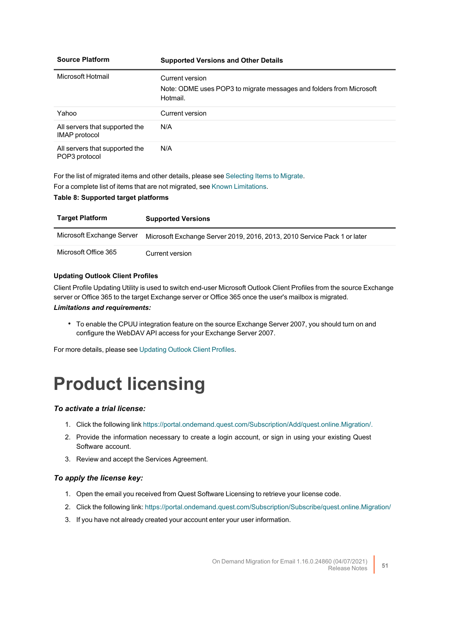| <b>Source Platform</b>                                 | <b>Supported Versions and Other Details</b>                                                        |
|--------------------------------------------------------|----------------------------------------------------------------------------------------------------|
| Microsoft Hotmail                                      | Current version<br>Note: ODME uses POP3 to migrate messages and folders from Microsoft<br>Hotmail. |
| Yahoo                                                  | Current version                                                                                    |
| All servers that supported the<br><b>IMAP</b> protocol | N/A                                                                                                |
| All servers that supported the<br>POP3 protocol        | N/A                                                                                                |

For the list of migrated items and other details, please see [Selecting](http://support.quest.com/technical-documents/on-demand-migration-for-email/user-guide/configuring-and-running-migrations/selecting-migration-options/selecting-items-to-migrate) Items to Migrate.

For a complete list of items that are not migrated, see Known [Limitations](http://documents.quest.com/on-demand-migration-for-email/user-guide/configuring-and-running-migrations/known-issues-and-limitations/known-limitations).

#### **Table 8: Supported target platforms**

| <b>Target Platform</b>    | <b>Supported Versions</b>                                                |
|---------------------------|--------------------------------------------------------------------------|
| Microsoft Exchange Server | Microsoft Exchange Server 2019, 2016, 2013, 2010 Service Pack 1 or later |
| Microsoft Office 365      | Current version                                                          |

#### **Updating Outlook Client Profiles**

Client Profile Updating Utility is used to switch end-user Microsoft Outlook Client Profiles from the source Exchange server or Office 365 to the target Exchange server or Office 365 once the user's mailbox is migrated.

#### *Limitations and requirements:*

• To enable the CPUU integration feature on the source Exchange Server 2007, you should turn on and configure the WebDAV API access for your Exchange Server 2007.

<span id="page-50-0"></span>For more details, please see [Updating](http://documents.quest.com/on-demand-migration-for-email/user-guide/configuring-and-running-migrations/selecting-migration-options/updating-outlook-client-profiles) Outlook Client Profiles.

# **Product licensing**

#### *To activate a trial license:*

- 1. Click the following link [https://portal.ondemand.quest.com/Subscription/Add/quest.online.Migration/.](https://portal.ondemand.quest.com/Subscription/Add/quest.online.Migration/)
- 2. Provide the information necessary to create a login account, or sign in using your existing Quest Software account.
- 3. Review and accept the Services Agreement.

#### *To apply the license key:*

- 1. Open the email you received from Quest Software Licensing to retrieve your license code.
- 2. Click the following link: <https://portal.ondemand.quest.com/Subscription/Subscribe/quest.online.Migration/>
- 3. If you have not already created your account enter your user information.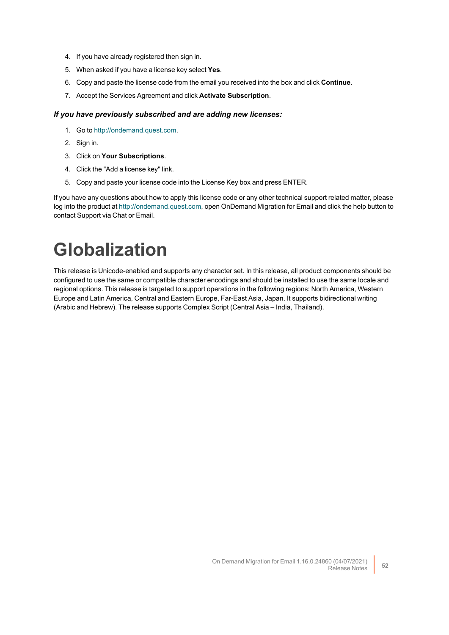- 4. If you have already registered then sign in.
- 5. When asked if you have a license key select **Yes**.
- 6. Copy and paste the license code from the email you received into the box and click **Continue**.
- 7. Accept the Services Agreement and click **Activate Subscription**.

#### *If you have previously subscribed and are adding new licenses:*

- 1. Go to [http://ondemand.quest.com.](http://ondemand.quest.com/)
- 2. Sign in.
- 3. Click on **Your Subscriptions**.
- 4. Click the "Add a license key" link.
- 5. Copy and paste your license code into the License Key box and press ENTER.

If you have any questions about how to apply this license code or any other technical support related matter, please log into the product at [http://ondemand.quest.com,](http://ondemand.quest.com/) open OnDemand Migration for Email and click the help button to contact Support via Chat or Email.

# <span id="page-51-0"></span>**Globalization**

This release is Unicode-enabled and supports any character set. In this release, all product components should be configured to use the same or compatible character encodings and should be installed to use the same locale and regional options. This release is targeted to support operations in the following regions: North America, Western Europe and Latin America, Central and Eastern Europe, Far-East Asia, Japan. It supports bidirectional writing (Arabic and Hebrew). The release supports Complex Script (Central Asia – India, Thailand).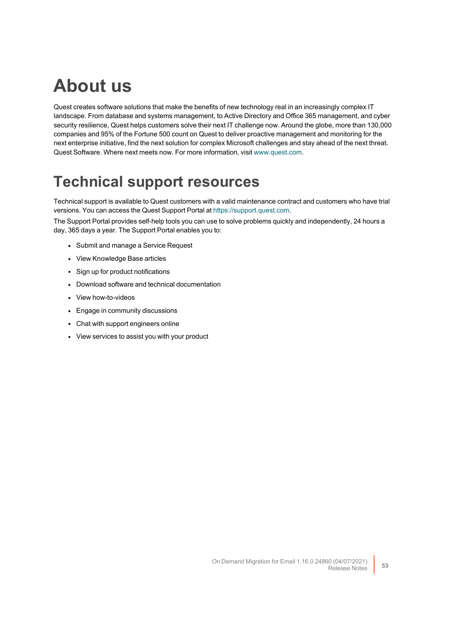# **About us**

Quest creates software solutions that make the benefits of new technology real in an increasingly complex IT landscape. From database and systems management, to Active Directory and Office 365 management, and cyber security resilience, Quest helps customers solve their next IT challenge now. Around the globe, more than 130,000 companies and 95% of the Fortune 500 count on Quest to deliver proactive management and monitoring for the next enterprise initiative, find the next solution for complex Microsoft challenges and stay ahead of the next threat. Quest Software. Where next meets now. For more information, visit [www.quest.com](https://www.quest.com/).

## **Technical support resources**

Technical support is available to Quest customers with a valid maintenance contract and customers who have trial versions. You can access the Quest Support Portal at [https://support.quest.com.](https://support.quest.com/)

The Support Portal provides self-help tools you can use to solve problems quickly and independently, 24 hours a day, 365 days a year. The Support Portal enables you to:

- Submit and manage a Service Request
- View Knowledge Base articles
- Sign up for product notifications
- Download software and technical documentation
- View how-to-videos
- Engage in community discussions
- Chat with support engineers online
- View services to assist you with your product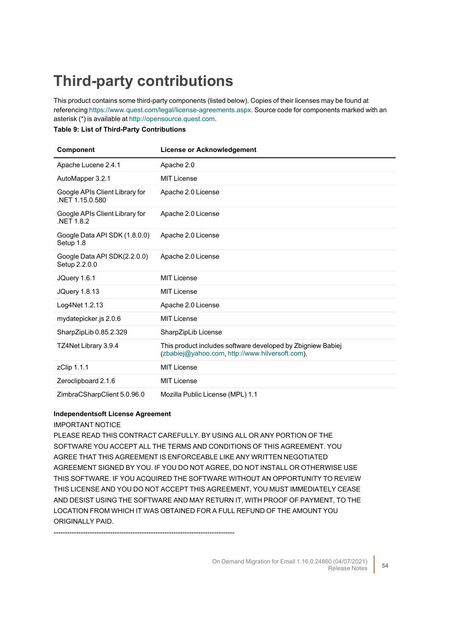## <span id="page-53-0"></span>**Third-party contributions**

This product contains some third-party components (listed below). Copies of their licenses may be found at referencing [https://www.quest.com/legal/license-agreements.aspx.](https://www.quest.com/legal/license-agreements.aspx) Source code for components marked with an asterisk (\*) is available at [http://opensource.quest.com.](http://opensource.quest.com/)

#### **Table 9: List of Third-Party Contributions**

| <b>Component</b>                                 | <b>License or Acknowledgement</b>                                                                              |
|--------------------------------------------------|----------------------------------------------------------------------------------------------------------------|
| Apache Lucene 2.4.1                              | Apache 2.0                                                                                                     |
| AutoMapper 3.2.1                                 | <b>MIT License</b>                                                                                             |
| Google APIs Client Library for<br>NFT 1.15.0.580 | Apache 2.0 License                                                                                             |
| Google APIs Client Library for<br>NET 1.8.2      | Apache 2.0 License                                                                                             |
| Google Data API SDK (1.8.0.0)<br>Setup 1.8       | Apache 2.0 License                                                                                             |
| Google Data API SDK(2.2.0.0)<br>Setup 2.2.0.0    | Apache 2.0 License                                                                                             |
| JQuery 1.6.1                                     | <b>MIT License</b>                                                                                             |
| <b>JQuery 1.8.13</b>                             | <b>MIT License</b>                                                                                             |
| Log4Net 1.2.13                                   | Apache 2.0 License                                                                                             |
| mydatepicker.js 2.0.6                            | <b>MIT License</b>                                                                                             |
| SharpZipLib 0.85.2.329                           | SharpZipLib License                                                                                            |
| TZ4Net Library 3.9.4                             | This product includes software developed by Zbigniew Babiej<br>(zbabiej@yahoo.com, http://www.hilversoft.com). |
| zClip 1.1.1                                      | <b>MIT License</b>                                                                                             |
| Zeroclipboard 2.1.6                              | <b>MIT License</b>                                                                                             |
| ZimbraCSharpClient 5.0.96.0                      | Mozilla Public License (MPL) 1.1                                                                               |

#### **Independentsoft License Agreement**

#### IMPORTANT NOTICE

PLEASE READ THIS CONTRACT CAREFULLY. BY USING ALL OR ANY PORTION OF THE SOFTWARE YOU ACCEPT ALL THE TERMS AND CONDITIONS OF THIS AGREEMENT. YOU AGREE THAT THIS AGREEMENT IS ENFORCEABLE LIKE ANY WRITTEN NEGOTIATED AGREEMENT SIGNED BY YOU. IF YOU DO NOT AGREE, DO NOT INSTALL OR OTHERWISE USE THIS SOFTWARE. IF YOU ACQUIRED THE SOFTWARE WITHOUT AN OPPORTUNITY TO REVIEW THIS LICENSE AND YOU DO NOT ACCEPT THIS AGREEMENT, YOU MUST IMMEDIATELY CEASE AND DESIST USING THE SOFTWARE AND MAY RETURN IT, WITH PROOF OF PAYMENT, TO THE LOCATION FROM WHICH IT WAS OBTAINED FOR A FULL REFUND OF THE AMOUNT YOU ORIGINALLY PAID.

--------------------------------------------------------------------------------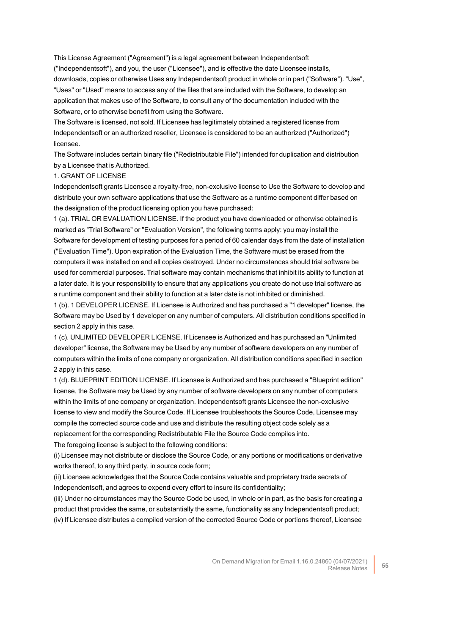This License Agreement ("Agreement") is a legal agreement between Independentsoft ("Independentsoft"), and you, the user ("Licensee"), and is effective the date Licensee installs, downloads, copies or otherwise Uses any Independentsoft product in whole or in part ("Software"). "Use", "Uses" or "Used" means to access any of the files that are included with the Software, to develop an application that makes use of the Software, to consult any of the documentation included with the Software, or to otherwise benefit from using the Software.

The Software is licensed, not sold. If Licensee has legitimately obtained a registered license from Independentsoft or an authorized reseller, Licensee is considered to be an authorized ("Authorized") licensee.

The Software includes certain binary file ("Redistributable File") intended for duplication and distribution by a Licensee that is Authorized.

#### 1. GRANT OF LICENSE

Independentsoft grants Licensee a royalty-free, non-exclusive license to Use the Software to develop and distribute your own software applications that use the Software as a runtime component differ based on the designation of the product licensing option you have purchased:

1 (a). TRIAL OR EVALUATION LICENSE. If the product you have downloaded or otherwise obtained is marked as "Trial Software" or "Evaluation Version", the following terms apply: you may install the Software for development of testing purposes for a period of 60 calendar days from the date of installation ("Evaluation Time"). Upon expiration of the Evaluation Time, the Software must be erased from the computers it was installed on and all copies destroyed. Under no circumstances should trial software be used for commercial purposes. Trial software may contain mechanisms that inhibit its ability to function at a later date. It is your responsibility to ensure that any applications you create do not use trial software as a runtime component and their ability to function at a later date is not inhibited or diminished.

1 (b). 1 DEVELOPER LICENSE. If Licensee is Authorized and has purchased a "1 developer" license, the Software may be Used by 1 developer on any number of computers. All distribution conditions specified in section 2 apply in this case.

1 (c). UNLIMITED DEVELOPER LICENSE. If Licensee is Authorized and has purchased an "Unlimited developer" license, the Software may be Used by any number of software developers on any number of computers within the limits of one company or organization. All distribution conditions specified in section 2 apply in this case.

1 (d). BLUEPRINT EDITION LICENSE. If Licensee is Authorized and has purchased a "Blueprint edition" license, the Software may be Used by any number of software developers on any number of computers within the limits of one company or organization. Independentsoft grants Licensee the non-exclusive license to view and modify the Source Code. If Licensee troubleshoots the Source Code, Licensee may compile the corrected source code and use and distribute the resulting object code solely as a replacement for the corresponding Redistributable File the Source Code compiles into.

The foregoing license is subject to the following conditions:

(i) Licensee may not distribute or disclose the Source Code, or any portions or modifications or derivative works thereof, to any third party, in source code form;

(ii) Licensee acknowledges that the Source Code contains valuable and proprietary trade secrets of Independentsoft, and agrees to expend every effort to insure its confidentiality;

(iii) Under no circumstances may the Source Code be used, in whole or in part, as the basis for creating a product that provides the same, or substantially the same, functionality as any Independentsoft product; (iv) If Licensee distributes a compiled version of the corrected Source Code or portions thereof, Licensee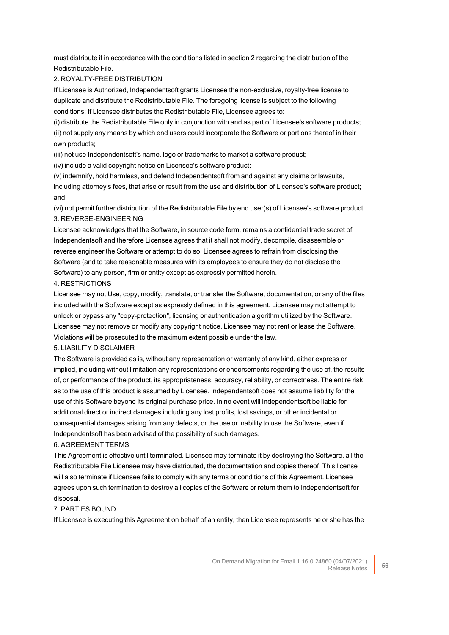must distribute it in accordance with the conditions listed in section 2 regarding the distribution of the Redistributable File.

#### 2. ROYALTY-FREE DISTRIBUTION

If Licensee is Authorized, Independentsoft grants Licensee the non-exclusive, royalty-free license to duplicate and distribute the Redistributable File. The foregoing license is subject to the following conditions: If Licensee distributes the Redistributable File, Licensee agrees to:

(i) distribute the Redistributable File only in conjunction with and as part of Licensee's software products; (ii) not supply any means by which end users could incorporate the Software or portions thereof in their own products;

(iii) not use Independentsoft's name, logo or trademarks to market a software product;

(iv) include a valid copyright notice on Licensee's software product;

(v) indemnify, hold harmless, and defend Independentsoft from and against any claims or lawsuits, including attorney's fees, that arise or result from the use and distribution of Licensee's software product; and

(vi) not permit further distribution of the Redistributable File by end user(s) of Licensee's software product. 3. REVERSE-ENGINEERING

Licensee acknowledges that the Software, in source code form, remains a confidential trade secret of Independentsoft and therefore Licensee agrees that it shall not modify, decompile, disassemble or reverse engineer the Software or attempt to do so. Licensee agrees to refrain from disclosing the Software (and to take reasonable measures with its employees to ensure they do not disclose the Software) to any person, firm or entity except as expressly permitted herein.

#### 4. RESTRICTIONS

Licensee may not Use, copy, modify, translate, or transfer the Software, documentation, or any of the files included with the Software except as expressly defined in this agreement. Licensee may not attempt to unlock or bypass any "copy-protection", licensing or authentication algorithm utilized by the Software. Licensee may not remove or modify any copyright notice. Licensee may not rent or lease the Software. Violations will be prosecuted to the maximum extent possible under the law.

#### 5. LIABILITY DISCLAIMER

The Software is provided as is, without any representation or warranty of any kind, either express or implied, including without limitation any representations or endorsements regarding the use of, the results of, or performance of the product, its appropriateness, accuracy, reliability, or correctness. The entire risk as to the use of this product is assumed by Licensee. Independentsoft does not assume liability for the use of this Software beyond its original purchase price. In no event will Independentsoft be liable for additional direct or indirect damages including any lost profits, lost savings, or other incidental or consequential damages arising from any defects, or the use or inability to use the Software, even if Independentsoft has been advised of the possibility of such damages.

#### 6. AGREEMENT TERMS

This Agreement is effective until terminated. Licensee may terminate it by destroying the Software, all the Redistributable File Licensee may have distributed, the documentation and copies thereof. This license will also terminate if Licensee fails to comply with any terms or conditions of this Agreement. Licensee agrees upon such termination to destroy all copies of the Software or return them to Independentsoft for disposal.

#### 7. PARTIES BOUND

If Licensee is executing this Agreement on behalf of an entity, then Licensee represents he or she has the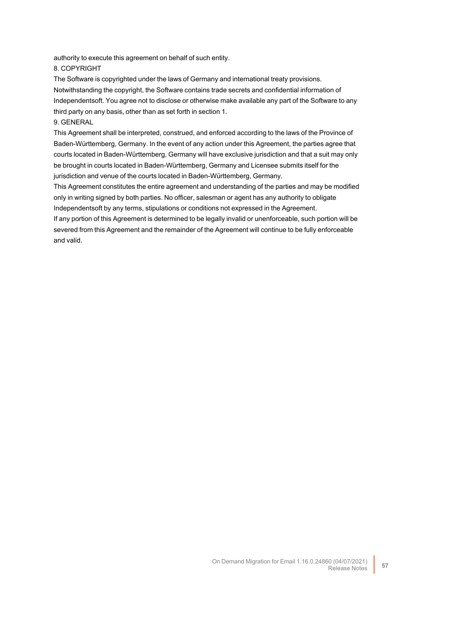authority to execute this agreement on behalf of such entity.

#### 8. COPYRIGHT

The Software is copyrighted under the laws of Germany and international treaty provisions. Notwithstanding the copyright, the Software contains trade secrets and confidential information of Independentsoft. You agree not to disclose or otherwise make available any part of the Software to any third party on any basis, other than as set forth in section 1.

## 9. GENERAL

This Agreement shall be interpreted, construed, and enforced according to the laws of the Province of Baden-Württemberg, Germany. In the event of any action under this Agreement, the parties agree that courts located in Baden-Württemberg, Germany will have exclusive jurisdiction and that a suit may only be brought in courts located in Baden-Württemberg, Germany and Licensee submits itself for the jurisdiction and venue of the courts located in Baden-Württemberg, Germany.

This Agreement constitutes the entire agreement and understanding of the parties and may be modified only in writing signed by both parties. No officer, salesman or agent has any authority to obligate Independentsoft by any terms, stipulations or conditions not expressed in the Agreement.

If any portion of this Agreement is determined to be legally invalid or unenforceable, such portion will be severed from this Agreement and the remainder of the Agreement will continue to be fully enforceable and valid.